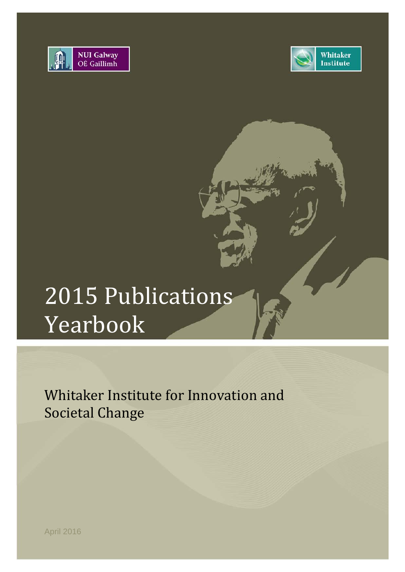



# 2015 Publications Yearbook

Whitaker Institute for Innovation and Societal Change

April 2016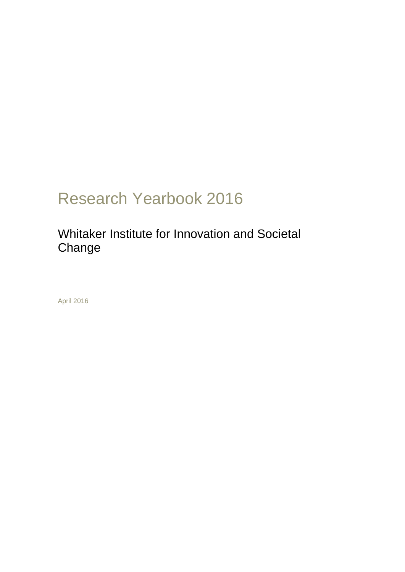## Research Yearbook 2016

### Whitaker Institute for Innovation and Societal Change

April 2016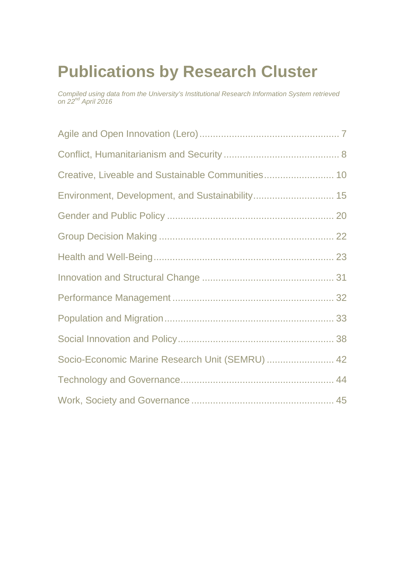# **Publications by Research Cluster**

*Compiled using data from the University's Institutional Research Information System retrieved on 22nd April 2016*

| Environment, Development, and Sustainability 15 |  |
|-------------------------------------------------|--|
|                                                 |  |
|                                                 |  |
|                                                 |  |
|                                                 |  |
|                                                 |  |
|                                                 |  |
|                                                 |  |
| Socio-Economic Marine Research Unit (SEMRU)  42 |  |
|                                                 |  |
|                                                 |  |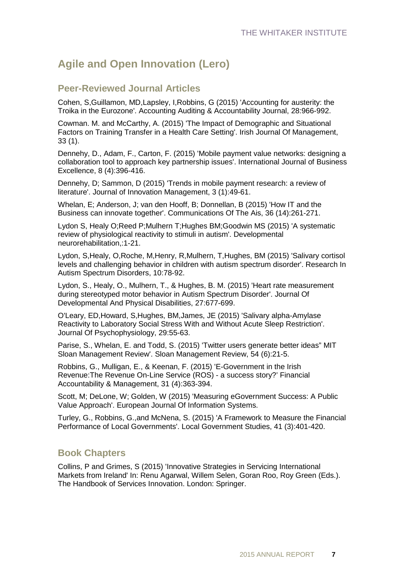### **Agile and Open Innovation (Lero)**

### **Peer-Reviewed Journal Articles**

Cohen, S,Guillamon, MD,Lapsley, I,Robbins, G (2015) 'Accounting for austerity: the Troika in the Eurozone'. Accounting Auditing & Accountability Journal, 28:966-992.

Cowman. M. and McCarthy, A. (2015) 'The Impact of Demographic and Situational Factors on Training Transfer in a Health Care Setting'. Irish Journal Of Management, 33 (1).

Dennehy, D., Adam, F., Carton, F. (2015) 'Mobile payment value networks: designing a collaboration tool to approach key partnership issues'. International Journal of Business Excellence, 8 (4):396-416.

Dennehy, D; Sammon, D (2015) 'Trends in mobile payment research: a review of literature'. Journal of Innovation Management, 3 (1):49-61.

Whelan, E; Anderson, J; van den Hooff, B; Donnellan, B (2015) 'How IT and the Business can innovate together'. Communications Of The Ais, 36 (14):261-271.

Lydon S, Healy O;Reed P;Mulhern T;Hughes BM;Goodwin MS (2015) 'A systematic review of physiological reactivity to stimuli in autism'. Developmental neurorehabilitation,:1-21.

Lydon, S,Healy, O,Roche, M,Henry, R,Mulhern, T,Hughes, BM (2015) 'Salivary cortisol levels and challenging behavior in children with autism spectrum disorder'. Research In Autism Spectrum Disorders, 10:78-92.

Lydon, S., Healy, O., Mulhern, T., & Hughes, B. M. (2015) 'Heart rate measurement during stereotyped motor behavior in Autism Spectrum Disorder'. Journal Of Developmental And Physical Disabilities, 27:677-699.

O'Leary, ED,Howard, S,Hughes, BM,James, JE (2015) 'Salivary alpha-Amylase Reactivity to Laboratory Social Stress With and Without Acute Sleep Restriction'. Journal Of Psychophysiology, 29:55-63.

Parise, S., Whelan, E. and Todd, S. (2015) 'Twitter users generate better ideas" MIT Sloan Management Review'. Sloan Management Review, 54 (6):21-5.

Robbins, G., Mulligan, E., & Keenan, F. (2015) 'E-Government in the Irish Revenue:The Revenue On-Line Service (ROS) - a success story?' Financial Accountability & Management, 31 (4):363-394.

Scott, M; DeLone, W; Golden, W (2015) 'Measuring eGovernment Success: A Public Value Approach'. European Journal Of Information Systems.

Turley, G., Robbins, G.,and McNena, S. (2015) 'A Framework to Measure the Financial Performance of Local Governments'. Local Government Studies, 41 (3):401-420.

### **Book Chapters**

Collins, P and Grimes, S (2015) 'Innovative Strategies in Servicing International Markets from Ireland' In: Renu Agarwal, Willem Selen, Goran Roo, Roy Green (Eds.). The Handbook of Services Innovation. London: Springer.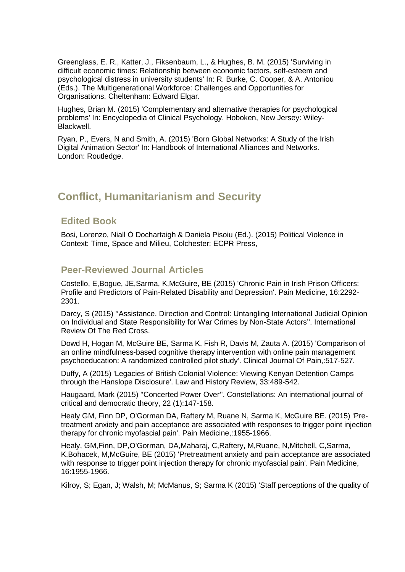Greenglass, E. R., Katter, J., Fiksenbaum, L., & Hughes, B. M. (2015) 'Surviving in difficult economic times: Relationship between economic factors, self-esteem and psychological distress in university students' In: R. Burke, C. Cooper, & A. Antoniou (Eds.). The Multigenerational Workforce: Challenges and Opportunities for Organisations. Cheltenham: Edward Elgar.

Hughes, Brian M. (2015) 'Complementary and alternative therapies for psychological problems' In: Encyclopedia of Clinical Psychology. Hoboken, New Jersey: Wiley-Blackwell.

Ryan, P., Evers, N and Smith, A. (2015) 'Born Global Networks: A Study of the Irish Digital Animation Sector' In: Handbook of International Alliances and Networks. London: Routledge.

### **Conflict, Humanitarianism and Security**

### **Edited Book**

Bosi, Lorenzo, Niall Ó Dochartaigh & Daniela Pisoiu (Ed.). (2015) Political Violence in Context: Time, Space and Milieu, Colchester: ECPR Press,

### **Peer-Reviewed Journal Articles**

Costello, E,Bogue, JE,Sarma, K,McGuire, BE (2015) 'Chronic Pain in Irish Prison Officers: Profile and Predictors of Pain-Related Disability and Depression'. Pain Medicine, 16:2292- 2301.

Darcy, S (2015) ''Assistance, Direction and Control: Untangling International Judicial Opinion on Individual and State Responsibility for War Crimes by Non-State Actors''. International Review Of The Red Cross.

Dowd H, Hogan M, McGuire BE, Sarma K, Fish R, Davis M, Zauta A. (2015) 'Comparison of an online mindfulness-based cognitive therapy intervention with online pain management psychoeducation: A randomized controlled pilot study'. Clinical Journal Of Pain,:517-527.

Duffy, A (2015) 'Legacies of British Colonial Violence: Viewing Kenyan Detention Camps through the Hanslope Disclosure'. Law and History Review, 33:489-542.

Haugaard, Mark (2015) ''Concerted Power Over''. Constellations: An international journal of critical and democratic theory, 22 (1):147-158.

Healy GM, Finn DP, O'Gorman DA, Raftery M, Ruane N, Sarma K, McGuire BE. (2015) 'Pretreatment anxiety and pain acceptance are associated with responses to trigger point injection therapy for chronic myofascial pain'. Pain Medicine,:1955-1966.

Healy, GM,Finn, DP,O'Gorman, DA,Maharaj, C,Raftery, M,Ruane, N,Mitchell, C,Sarma, K,Bohacek, M,McGuire, BE (2015) 'Pretreatment anxiety and pain acceptance are associated with response to trigger point injection therapy for chronic myofascial pain'. Pain Medicine, 16:1955-1966.

Kilroy, S; Egan, J; Walsh, M; McManus, S; Sarma K (2015) 'Staff perceptions of the quality of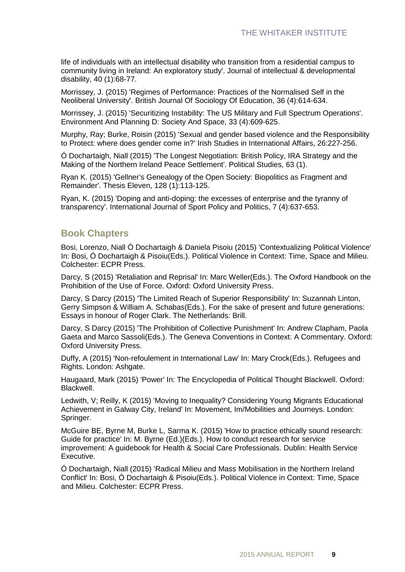life of individuals with an intellectual disability who transition from a residential campus to community living in Ireland: An exploratory study'. Journal of intellectual & developmental disability, 40 (1):68-77.

Morrissey, J. (2015) 'Regimes of Performance: Practices of the Normalised Self in the Neoliberal University'. British Journal Of Sociology Of Education, 36 (4):614-634.

Morrissey, J. (2015) 'Securitizing Instability: The US Military and Full Spectrum Operations'. Environment And Planning D: Society And Space, 33 (4):609-625.

Murphy, Ray; Burke, Roisin (2015) 'Sexual and gender based violence and the Responsibility to Protect: where does gender come in?' Irish Studies in International Affairs, 26:227-256.

Ó Dochartaigh, Niall (2015) 'The Longest Negotiation: British Policy, IRA Strategy and the Making of the Northern Ireland Peace Settlement'. Political Studies, 63 (1).

Ryan K. (2015) 'Gellner's Genealogy of the Open Society: Biopolitics as Fragment and Remainder'. Thesis Eleven, 128 (1):113-125.

Ryan, K. (2015) 'Doping and anti-doping: the excesses of enterprise and the tyranny of transparency'. International Journal of Sport Policy and Politics, 7 (4):637-653.

#### **Book Chapters**

Bosi, Lorenzo, Niall Ó Dochartaigh & Daniela Pisoiu (2015) 'Contextualizing Political Violence' In: Bosi, Ó Dochartaigh & Pisoiu(Eds.). Political Violence in Context: Time, Space and Milieu. Colchester: ECPR Press.

Darcy, S (2015) 'Retaliation and Reprisal' In: Marc Weller(Eds.). The Oxford Handbook on the Prohibition of the Use of Force. Oxford: Oxford University Press.

Darcy, S Darcy (2015) 'The Limited Reach of Superior Responsibility' In: Suzannah Linton, Gerry Simpson & William A. Schabas(Eds.). For the sake of present and future generations: Essays in honour of Roger Clark. The Netherlands: Brill.

Darcy, S Darcy (2015) 'The Prohibition of Collective Punishment' In: Andrew Clapham, Paola Gaeta and Marco Sassoli(Eds.). The Geneva Conventions in Context: A Commentary. Oxford: Oxford University Press.

Duffy, A (2015) 'Non-refoulement in International Law' In: Mary Crock(Eds.). Refugees and Rights. London: Ashgate.

Haugaard, Mark (2015) 'Power' In: The Encyclopedia of Political Thought Blackwell. Oxford: Blackwell.

Ledwith, V; Reilly, K (2015) 'Moving to Inequality? Considering Young Migrants Educational Achievement in Galway City, Ireland' In: Movement, Im/Mobilities and Journeys. London: Springer.

McGuire BE, Byrne M, Burke L, Sarma K. (2015) 'How to practice ethically sound research: Guide for practice' In: M. Byrne (Ed.)(Eds.). How to conduct research for service improvement: A guidebook for Health & Social Care Professionals. Dublin: Health Service Executive.

Ó Dochartaigh, Niall (2015) 'Radical Milieu and Mass Mobilisation in the Northern Ireland Conflict' In: Bosi, Ó Dochartaigh & Pisoiu(Eds.). Political Violence in Context: Time, Space and Milieu. Colchester: ECPR Press.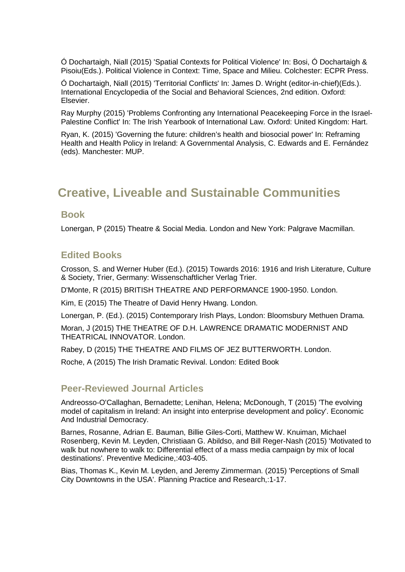Ó Dochartaigh, Niall (2015) 'Spatial Contexts for Political Violence' In: Bosi, Ó Dochartaigh & Pisoiu(Eds.). Political Violence in Context: Time, Space and Milieu. Colchester: ECPR Press.

Ó Dochartaigh, Niall (2015) 'Territorial Conflicts' In: James D. Wright (editor-in-chief)(Eds.). International Encyclopedia of the Social and Behavioral Sciences, 2nd edition. Oxford: Elsevier.

Ray Murphy (2015) 'Problems Confronting any International Peacekeeping Force in the Israel-Palestine Conflict' In: The Irish Yearbook of International Law. Oxford: United Kingdom: Hart.

Ryan, K. (2015) 'Governing the future: children's health and biosocial power' In: Reframing Health and Health Policy in Ireland: A Governmental Analysis, C. Edwards and E. Fernández (eds). Manchester: MUP.

### **Creative, Liveable and Sustainable Communities**

#### **Book**

Lonergan, P (2015) Theatre & Social Media. London and New York: Palgrave Macmillan.

### **Edited Books**

Crosson, S. and Werner Huber (Ed.). (2015) Towards 2016: 1916 and Irish Literature, Culture & Society, Trier, Germany: Wissenschaftlicher Verlag Trier.

D'Monte, R (2015) BRITISH THEATRE AND PERFORMANCE 1900-1950. London.

Kim, E (2015) The Theatre of David Henry Hwang. London.

Lonergan, P. (Ed.). (2015) Contemporary Irish Plays, London: Bloomsbury Methuen Drama.

Moran, J (2015) THE THEATRE OF D.H. LAWRENCE DRAMATIC MODERNIST AND THEATRICAL INNOVATOR. London.

Rabey, D (2015) THE THEATRE AND FILMS OF JEZ BUTTERWORTH. London.

Roche, A (2015) The Irish Dramatic Revival. London: Edited Book

### **Peer-Reviewed Journal Articles**

Andreosso-O'Callaghan, Bernadette; Lenihan, Helena; McDonough, T (2015) 'The evolving model of capitalism in Ireland: An insight into enterprise development and policy'. Economic And Industrial Democracy.

Barnes, Rosanne, Adrian E. Bauman, Billie Giles-Corti, Matthew W. Knuiman, Michael Rosenberg, Kevin M. Leyden, Christiaan G. Abildso, and Bill Reger-Nash (2015) 'Motivated to walk but nowhere to walk to: Differential effect of a mass media campaign by mix of local destinations'. Preventive Medicine,:403-405.

Bias, Thomas K., Kevin M. Leyden, and Jeremy Zimmerman. (2015) 'Perceptions of Small City Downtowns in the USA'. Planning Practice and Research,:1-17.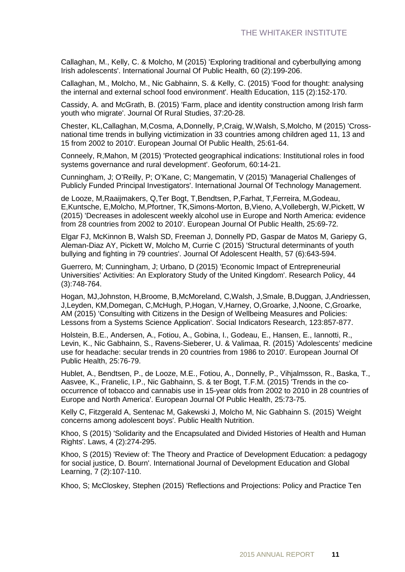Callaghan, M., Kelly, C. & Molcho, M (2015) 'Exploring traditional and cyberbullying among Irish adolescents'. International Journal Of Public Health, 60 (2):199-206.

Callaghan, M., Molcho, M., Nic Gabhainn, S. & Kelly, C. (2015) 'Food for thought: analysing the internal and external school food environment'. Health Education, 115 (2):152-170.

Cassidy, A. and McGrath, B. (2015) 'Farm, place and identity construction among Irish farm youth who migrate'. Journal Of Rural Studies, 37:20-28.

Chester, KL,Callaghan, M,Cosma, A,Donnelly, P,Craig, W,Walsh, S,Molcho, M (2015) 'Crossnational time trends in bullying victimization in 33 countries among children aged 11, 13 and 15 from 2002 to 2010'. European Journal Of Public Health, 25:61-64.

Conneely, R,Mahon, M (2015) 'Protected geographical indications: Institutional roles in food systems governance and rural development'. Geoforum, 60:14-21.

Cunningham, J; O'Reilly, P; O'Kane, C; Mangematin, V (2015) 'Managerial Challenges of Publicly Funded Principal Investigators'. International Journal Of Technology Management.

de Looze, M,Raaijmakers, Q,Ter Bogt, T,Bendtsen, P,Farhat, T,Ferreira, M,Godeau, E,Kuntsche, E,Molcho, M,Pfortner, TK,Simons-Morton, B,Vieno, A,Vollebergh, W,Pickett, W (2015) 'Decreases in adolescent weekly alcohol use in Europe and North America: evidence from 28 countries from 2002 to 2010'. European Journal Of Public Health, 25:69-72.

Elgar FJ, McKinnon B, Walsh SD, Freeman J, Donnelly PD, Gaspar de Matos M, Gariepy G, Aleman-Diaz AY, Pickett W, Molcho M, Currie C (2015) 'Structural determinants of youth bullying and fighting in 79 countries'. Journal Of Adolescent Health, 57 (6):643-594.

Guerrero, M; Cunningham, J; Urbano, D (2015) 'Economic Impact of Entrepreneurial Universities' Activities: An Exploratory Study of the United Kingdom'. Research Policy, 44 (3):748-764.

Hogan, MJ,Johnston, H,Broome, B,McMoreland, C,Walsh, J,Smale, B,Duggan, J,Andriessen, J,Leyden, KM,Domegan, C,McHugh, P,Hogan, V,Harney, O,Groarke, J,Noone, C,Groarke, AM (2015) 'Consulting with Citizens in the Design of Wellbeing Measures and Policies: Lessons from a Systems Science Application'. Social Indicators Research, 123:857-877.

Holstein, B.E., Andersen, A., Fotiou, A., Gobina, I., Godeau, E., Hansen, E., Iannotti, R., Levin, K., Nic Gabhainn, S., Ravens-Sieberer, U. & Valimaa, R. (2015) 'Adolescents' medicine use for headache: secular trends in 20 countries from 1986 to 2010'. European Journal Of Public Health, 25:76-79.

Hublet, A., Bendtsen, P., de Looze, M.E., Fotiou, A., Donnelly, P., Vihjalmsson, R., Baska, T., Aasvee, K., Franelic, I.P., Nic Gabhainn, S. & ter Bogt, T.F.M. (2015) 'Trends in the cooccurrence of tobacco and cannabis use in 15-year olds from 2002 to 2010 in 28 countries of Europe and North America'. European Journal Of Public Health, 25:73-75.

Kelly C, Fitzgerald A, Sentenac M, Gakewski J, Molcho M, Nic Gabhainn S. (2015) 'Weight concerns among adolescent boys'. Public Health Nutrition.

Khoo, S (2015) 'Solidarity and the Encapsulated and Divided Histories of Health and Human Rights'. Laws, 4 (2):274-295.

Khoo, S (2015) 'Review of: The Theory and Practice of Development Education: a pedagogy for social justice, D. Bourn'. International Journal of Development Education and Global Learning, 7 (2):107-110.

Khoo, S; McCloskey, Stephen (2015) 'Reflections and Projections: Policy and Practice Ten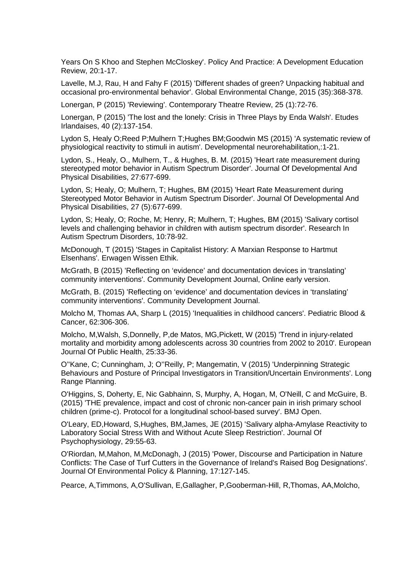Years On S Khoo and Stephen McCloskey'. Policy And Practice: A Development Education Review, 20:1-17.

Lavelle, M.J, Rau, H and Fahy F (2015) 'Different shades of green? Unpacking habitual and occasional pro-environmental behavior'. Global Environmental Change, 2015 (35):368-378.

Lonergan, P (2015) 'Reviewing'. Contemporary Theatre Review, 25 (1):72-76.

Lonergan, P (2015) 'The lost and the lonely: Crisis in Three Plays by Enda Walsh'. Etudes Irlandaises, 40 (2):137-154.

Lydon S, Healy O;Reed P;Mulhern T;Hughes BM;Goodwin MS (2015) 'A systematic review of physiological reactivity to stimuli in autism'. Developmental neurorehabilitation,:1-21.

Lydon, S., Healy, O., Mulhern, T., & Hughes, B. M. (2015) 'Heart rate measurement during stereotyped motor behavior in Autism Spectrum Disorder'. Journal Of Developmental And Physical Disabilities, 27:677-699.

Lydon, S; Healy, O; Mulhern, T; Hughes, BM (2015) 'Heart Rate Measurement during Stereotyped Motor Behavior in Autism Spectrum Disorder'. Journal Of Developmental And Physical Disabilities, 27 (5):677-699.

Lydon, S; Healy, O; Roche, M; Henry, R; Mulhern, T; Hughes, BM (2015) 'Salivary cortisol levels and challenging behavior in children with autism spectrum disorder'. Research In Autism Spectrum Disorders, 10:78-92.

McDonough, T (2015) 'Stages in Capitalist History: A Marxian Response to Hartmut Elsenhans'. Erwagen Wissen Ethik.

McGrath, B (2015) 'Reflecting on 'evidence' and documentation devices in 'translating' community interventions'. Community Development Journal, Online early version.

McGrath, B. (2015) 'Reflecting on 'evidence' and documentation devices in 'translating' community interventions'. Community Development Journal.

Molcho M, Thomas AA, Sharp L (2015) 'Inequalities in childhood cancers'. Pediatric Blood & Cancer, 62:306-306.

Molcho, M,Walsh, S,Donnelly, P,de Matos, MG,Pickett, W (2015) 'Trend in injury-related mortality and morbidity among adolescents across 30 countries from 2002 to 2010'. European Journal Of Public Health, 25:33-36.

O''Kane, C; Cunningham, J; O''Reilly, P; Mangematin, V (2015) 'Underpinning Strategic Behaviours and Posture of Principal Investigators in Transition/Uncertain Environments'. Long Range Planning.

O'Higgins, S, Doherty, E, Nic Gabhainn, S, Murphy, A, Hogan, M, O'Neill, C and McGuire, B. (2015) 'THE prevalence, impact and cost of chronic non-cancer pain in irish primary school children (prime-c). Protocol for a longitudinal school-based survey'. BMJ Open.

O'Leary, ED,Howard, S,Hughes, BM,James, JE (2015) 'Salivary alpha-Amylase Reactivity to Laboratory Social Stress With and Without Acute Sleep Restriction'. Journal Of Psychophysiology, 29:55-63.

O'Riordan, M,Mahon, M,McDonagh, J (2015) 'Power, Discourse and Participation in Nature Conflicts: The Case of Turf Cutters in the Governance of Ireland's Raised Bog Designations'. Journal Of Environmental Policy & Planning, 17:127-145.

Pearce, A,Timmons, A,O'Sullivan, E,Gallagher, P,Gooberman-Hill, R,Thomas, AA,Molcho,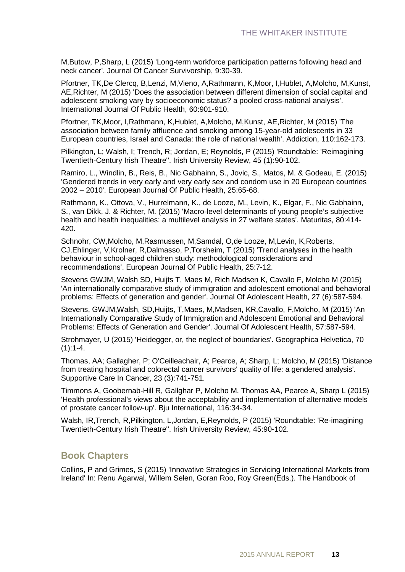M,Butow, P,Sharp, L (2015) 'Long-term workforce participation patterns following head and neck cancer'. Journal Of Cancer Survivorship, 9:30-39.

Pfortner, TK,De Clercq, B,Lenzi, M,Vieno, A,Rathmann, K,Moor, I,Hublet, A,Molcho, M,Kunst, AE,Richter, M (2015) 'Does the association between different dimension of social capital and adolescent smoking vary by socioeconomic status? a pooled cross-national analysis'. International Journal Of Public Health, 60:901-910.

Pfortner, TK,Moor, I,Rathmann, K,Hublet, A,Molcho, M,Kunst, AE,Richter, M (2015) 'The association between family affluence and smoking among 15-year-old adolescents in 33 European countries, Israel and Canada: the role of national wealth'. Addiction, 110:162-173.

Pilkington, L; Walsh, I; Trench, R; Jordan, E; Reynolds, P (2015) 'Roundtable: 'Reimagining Twentieth-Century Irish Theatre''. Irish University Review, 45 (1):90-102.

Ramiro, L., Windlin, B., Reis, B., Nic Gabhainn, S., Jovic, S., Matos, M. & Godeau, E. (2015) 'Gendered trends in very early and very early sex and condom use in 20 European countries 2002 – 2010'. European Journal Of Public Health, 25:65-68.

Rathmann, K., Ottova, V., Hurrelmann, K., de Looze, M., Levin, K., Elgar, F., Nic Gabhainn, S., van Dikk, J. & Richter, M. (2015) 'Macro-level determinants of young people's subjective health and health inequalities: a multilevel analysis in 27 welfare states'. Maturitas, 80:414- 420.

Schnohr, CW,Molcho, M,Rasmussen, M,Samdal, O,de Looze, M,Levin, K,Roberts, CJ,Ehlinger, V,Krolner, R,Dalmasso, P,Torsheim, T (2015) 'Trend analyses in the health behaviour in school-aged children study: methodological considerations and recommendations'. European Journal Of Public Health, 25:7-12.

Stevens GWJM, Walsh SD, Huijts T, Maes M, Rich Madsen K, Cavallo F, Molcho M (2015) 'An internationally comparative study of immigration and adolescent emotional and behavioral problems: Effects of generation and gender'. Journal Of Adolescent Health, 27 (6):587-594.

Stevens, GWJM,Walsh, SD,Huijts, T,Maes, M,Madsen, KR,Cavallo, F,Molcho, M (2015) 'An Internationally Comparative Study of Immigration and Adolescent Emotional and Behavioral Problems: Effects of Generation and Gender'. Journal Of Adolescent Health, 57:587-594.

Strohmayer, U (2015) 'Heidegger, or, the neglect of boundaries'. Geographica Helvetica, 70  $(1):1-4.$ 

Thomas, AA; Gallagher, P; O'Ceilleachair, A; Pearce, A; Sharp, L; Molcho, M (2015) 'Distance from treating hospital and colorectal cancer survivors' quality of life: a gendered analysis'. Supportive Care In Cancer, 23 (3):741-751.

Timmons A, Goobernab-Hill R, Gallghar P, Molcho M, Thomas AA, Pearce A, Sharp L (2015) 'Health professional's views about the acceptability and implementation of alternative models of prostate cancer follow-up'. Bju International, 116:34-34.

Walsh, IR,Trench, R,Pilkington, L,Jordan, E,Reynolds, P (2015) 'Roundtable: 'Re-imagining Twentieth-Century Irish Theatre''. Irish University Review, 45:90-102.

### **Book Chapters**

Collins, P and Grimes, S (2015) 'Innovative Strategies in Servicing International Markets from Ireland' In: Renu Agarwal, Willem Selen, Goran Roo, Roy Green(Eds.). The Handbook of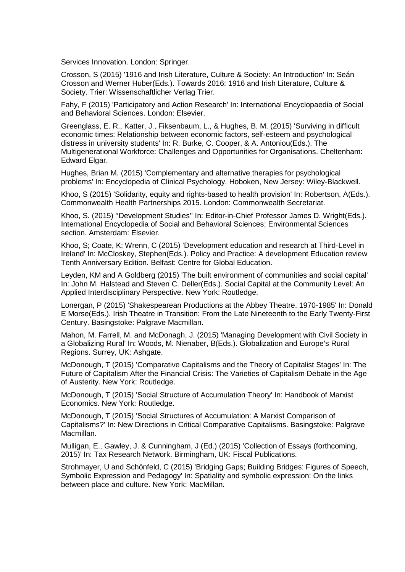Services Innovation. London: Springer.

Crosson, S (2015) '1916 and Irish Literature, Culture & Society: An Introduction' In: Seán Crosson and Werner Huber(Eds.). Towards 2016: 1916 and Irish Literature, Culture & Society. Trier: Wissenschaftlicher Verlag Trier.

Fahy, F (2015) 'Participatory and Action Research' In: International Encyclopaedia of Social and Behavioral Sciences. London: Elsevier.

Greenglass, E. R., Katter, J., Fiksenbaum, L., & Hughes, B. M. (2015) 'Surviving in difficult economic times: Relationship between economic factors, self-esteem and psychological distress in university students' In: R. Burke, C. Cooper, & A. Antoniou(Eds.). The Multigenerational Workforce: Challenges and Opportunities for Organisations. Cheltenham: Edward Elgar.

Hughes, Brian M. (2015) 'Complementary and alternative therapies for psychological problems' In: Encyclopedia of Clinical Psychology. Hoboken, New Jersey: Wiley-Blackwell.

Khoo, S (2015) 'Solidarity, equity and rights-based to health provision' In: Robertson, A(Eds.). Commonwealth Health Partnerships 2015. London: Commonwealth Secretariat.

Khoo, S. (2015) ''Development Studies'' In: Editor-in-Chief Professor James D. Wright(Eds.). International Encyclopedia of Social and Behavioral Sciences; Environmental Sciences section. Amsterdam: Elsevier.

Khoo, S; Coate, K; Wrenn, C (2015) 'Development education and research at Third-Level in Ireland' In: McCloskey, Stephen(Eds.). Policy and Practice: A development Education review Tenth Anniversary Edition. Belfast: Centre for Global Education.

Leyden, KM and A Goldberg (2015) 'The built environment of communities and social capital' In: John M. Halstead and Steven C. Deller(Eds.). Social Capital at the Community Level: An Applied Interdisciplinary Perspective. New York: Routledge.

Lonergan, P (2015) 'Shakespearean Productions at the Abbey Theatre, 1970-1985' In: Donald E Morse(Eds.). Irish Theatre in Transition: From the Late Nineteenth to the Early Twenty-First Century. Basingstoke: Palgrave Macmillan.

Mahon, M. Farrell, M. and McDonagh, J. (2015) 'Managing Development with Civil Society in a Globalizing Rural' In: Woods, M. Nienaber, B(Eds.). Globalization and Europe's Rural Regions. Surrey, UK: Ashgate.

McDonough, T (2015) 'Comparative Capitalisms and the Theory of Capitalist Stages' In: The Future of Capitalism After the Financial Crisis: The Varieties of Capitalism Debate in the Age of Austerity. New York: Routledge.

McDonough, T (2015) 'Social Structure of Accumulation Theory' In: Handbook of Marxist Economics. New York: Routledge.

McDonough, T (2015) 'Social Structures of Accumulation: A Marxist Comparison of Capitalisms?' In: New Directions in Critical Comparative Capitalisms. Basingstoke: Palgrave Macmillan.

Mulligan, E., Gawley, J. & Cunningham, J (Ed.) (2015) 'Collection of Essays (forthcoming, 2015)' In: Tax Research Network. Birmingham, UK: Fiscal Publications.

Strohmayer, U and Schönfeld, C (2015) 'Bridging Gaps; Building Bridges: Figures of Speech, Symbolic Expression and Pedagogy' In: Spatiality and symbolic expression: On the links between place and culture. New York: MacMillan.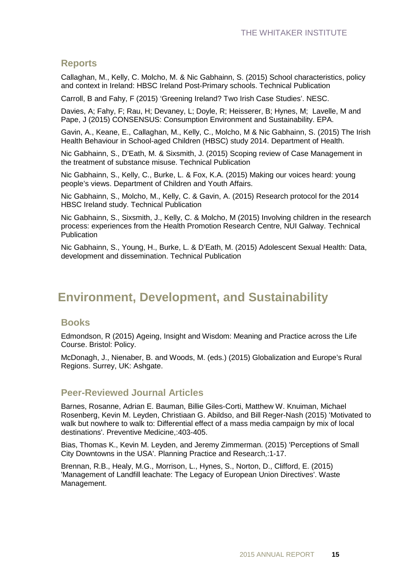#### **Reports**

Callaghan, M., Kelly, C. Molcho, M. & Nic Gabhainn, S. (2015) School characteristics, policy and context in Ireland: HBSC Ireland Post-Primary schools. Technical Publication

Carroll, B and Fahy, F (2015) 'Greening Ireland? Two Irish Case Studies'. NESC.

Davies, A; Fahy, F; Rau, H; Devaney, L; Doyle, R; Heisserer, B; Hynes, M; Lavelle, M and Pape, J (2015) CONSENSUS: Consumption Environment and Sustainability. EPA.

Gavin, A., Keane, E., Callaghan, M., Kelly, C., Molcho, M & Nic Gabhainn, S. (2015) The Irish Health Behaviour in School-aged Children (HBSC) study 2014. Department of Health.

Nic Gabhainn, S., D'Eath, M. & Sixsmith, J. (2015) Scoping review of Case Management in the treatment of substance misuse. Technical Publication

Nic Gabhainn, S., Kelly, C., Burke, L. & Fox, K.A. (2015) Making our voices heard: young people's views. Department of Children and Youth Affairs.

Nic Gabhainn, S., Molcho, M., Kelly, C. & Gavin, A. (2015) Research protocol for the 2014 HBSC Ireland study. Technical Publication

Nic Gabhainn, S., Sixsmith, J., Kelly, C. & Molcho, M (2015) Involving children in the research process: experiences from the Health Promotion Research Centre, NUI Galway. Technical **Publication** 

Nic Gabhainn, S., Young, H., Burke, L. & D'Eath, M. (2015) Adolescent Sexual Health: Data, development and dissemination. Technical Publication

### **Environment, Development, and Sustainability**

#### **Books**

Edmondson, R (2015) Ageing, Insight and Wisdom: Meaning and Practice across the Life Course. Bristol: Policy.

McDonagh, J., Nienaber, B. and Woods, M. (eds.) (2015) Globalization and Europe's Rural Regions. Surrey, UK: Ashgate.

#### **Peer-Reviewed Journal Articles**

Barnes, Rosanne, Adrian E. Bauman, Billie Giles-Corti, Matthew W. Knuiman, Michael Rosenberg, Kevin M. Leyden, Christiaan G. Abildso, and Bill Reger-Nash (2015) 'Motivated to walk but nowhere to walk to: Differential effect of a mass media campaign by mix of local destinations'. Preventive Medicine,:403-405.

Bias, Thomas K., Kevin M. Leyden, and Jeremy Zimmerman. (2015) 'Perceptions of Small City Downtowns in the USA'. Planning Practice and Research,:1-17.

Brennan, R.B., Healy, M.G., Morrison, L., Hynes, S., Norton, D., Clifford, E. (2015) 'Management of Landfill leachate: The Legacy of European Union Directives'. Waste Management.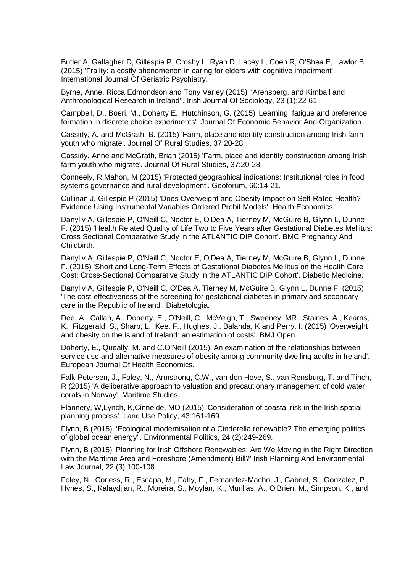Butler A, Gallagher D, Gillespie P, Crosby L, Ryan D, Lacey L, Coen R, O'Shea E, Lawlor B (2015) 'Frailty: a costly phenomenon in caring for elders with cognitive impairment'. International Journal Of Geriatric Psychiatry.

Byrne, Anne, Ricca Edmondson and Tony Varley (2015) ''Arensberg, and Kimball and Anthropological Research in Ireland''. Irish Journal Of Sociology, 23 (1):22-61.

Campbell, D., Boeri, M., Doherty E., Hutchinson, G. (2015) 'Learning, fatigue and preference formation in discrete choice experiments'. Journal Of Economic Behavior And Organization.

Cassidy, A. and McGrath, B. (2015) 'Farm, place and identity construction among Irish farm youth who migrate'. Journal Of Rural Studies, 37:20-28.

Cassidy, Anne and McGrath, Brian (2015) 'Farm, place and identity construction among Irish farm youth who migrate'. Journal Of Rural Studies, 37:20-28.

Conneely, R,Mahon, M (2015) 'Protected geographical indications: Institutional roles in food systems governance and rural development'. Geoforum, 60:14-21.

Cullinan J, Gillespie P (2015) 'Does Overweight and Obesity Impact on Self-Rated Health? Evidence Using Instrumental Variables Ordered Probit Models'. Health Economics.

Danyliv A, Gillespie P, O'Neill C, Noctor E, O'Dea A, Tierney M, McGuire B, Glynn L, Dunne F. (2015) 'Health Related Quality of Life Two to Five Years after Gestational Diabetes Mellitus: Cross Sectional Comparative Study in the ATLANTIC DIP Cohort'. BMC Pregnancy And Childbirth.

Danyliv A, Gillespie P, O'Neill C, Noctor E, O'Dea A, Tierney M, McGuire B, Glynn L, Dunne F. (2015) 'Short and Long-Term Effects of Gestational Diabetes Mellitus on the Health Care Cost: Cross-Sectional Comparative Study in the ATLANTIC DIP Cohort'. Diabetic Medicine.

Danyliv A, Gillespie P, O'Neill C, O'Dea A, Tierney M, McGuire B, Glynn L, Dunne F. (2015) 'The cost-effectiveness of the screening for gestational diabetes in primary and secondary care in the Republic of Ireland'. Diabetologia.

Dee, A., Callan, A., Doherty, E., O'Neill, C., McVeigh, T., Sweeney, MR., Staines, A., Kearns, K., Fitzgerald, S., Sharp, L., Kee, F., Hughes, J., Balanda, K and Perry, I. (2015) 'Overweight and obesity on the Island of Ireland: an estimation of costs'. BMJ Open.

Doherty, E., Queally, M. and C.O'Neill (2015) 'An examination of the relationships between service use and alternative measures of obesity among community dwelling adults in Ireland'. European Journal Of Health Economics.

Falk-Petersen, J., Foley, N., Armstrong, C.W., van den Hove, S., van Rensburg, T. and Tinch, R (2015) 'A deliberative approach to valuation and precautionary management of cold water corals in Norway'. Maritime Studies.

Flannery, W,Lynch, K,Cinneide, MO (2015) 'Consideration of coastal risk in the Irish spatial planning process'. Land Use Policy, 43:161-169.

Flynn, B (2015) ''Ecological modernisation of a Cinderella renewable? The emerging politics of global ocean energy''. Environmental Politics, 24 (2):249-269.

Flynn, B (2015) 'Planning for Irish Offshore Renewables: Are We Moving in the Right Direction with the Maritime Area and Foreshore (Amendment) Bill?' Irish Planning And Environmental Law Journal, 22 (3):100-108.

Foley, N., Corless, R., Escapa, M., Fahy, F., Fernandez-Macho, J., Gabriel, S., Gonzalez, P., Hynes, S., Kalaydjian, R., Moreira, S., Moylan, K., Murillas, A., O'Brien, M., Simpson, K., and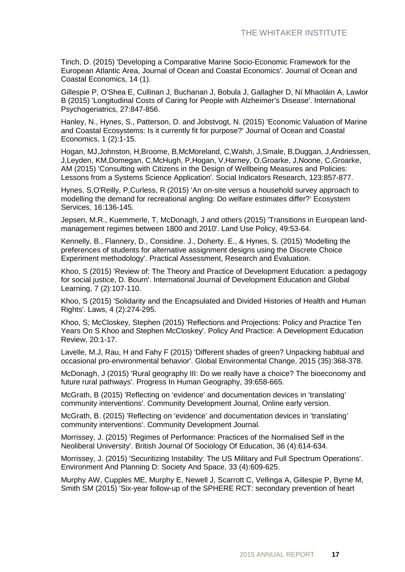Tinch, D. (2015) 'Developing a Comparative Marine Socio-Economic Framework for the European Atlantic Area, Journal of Ocean and Coastal Economics'. Journal of Ocean and Coastal Economics, 14 (1).

Gillespie P, O'Shea E, Cullinan J, Buchanan J, Bobula J, Gallagher D, Ní Mhaoláin A, Lawlor B (2015) 'Longitudinal Costs of Caring for People with Alzheimer's Disease'. International Psychogeriatrics, 27:847-856.

Hanley, N., Hynes, S., Patterson, D. and Jobstvogt, N. (2015) 'Economic Valuation of Marine and Coastal Ecosystems: Is it currently fit for purpose?' Journal of Ocean and Coastal Economics, 1 (2):1-15.

Hogan, MJ,Johnston, H,Broome, B,McMoreland, C,Walsh, J,Smale, B,Duggan, J,Andriessen, J,Leyden, KM,Domegan, C,McHugh, P,Hogan, V,Harney, O,Groarke, J,Noone, C,Groarke, AM (2015) 'Consulting with Citizens in the Design of Wellbeing Measures and Policies: Lessons from a Systems Science Application'. Social Indicators Research, 123:857-877.

Hynes, S,O'Reilly, P,Curless, R (2015) 'An on-site versus a household survey approach to modelling the demand for recreational angling: Do welfare estimates differ?' Ecosystem Services, 16:136-145.

Jepsen, M.R., Kuemmerle, T, McDonagh, J and others (2015) 'Transitions in European landmanagement regimes between 1800 and 2010'. Land Use Policy, 49:53-64.

Kennelly, B., Flannery, D., Considine. J., Doherty. E., & Hynes, S. (2015) 'Modelling the preferences of students for alternative assignment designs using the Discrete Choice Experiment methodology'. Practical Assessment, Research and Evaluation.

Khoo, S (2015) 'Review of: The Theory and Practice of Development Education: a pedagogy for social justice, D. Bourn'. International Journal of Development Education and Global Learning, 7 (2):107-110.

Khoo, S (2015) 'Solidarity and the Encapsulated and Divided Histories of Health and Human Rights'. Laws, 4 (2):274-295.

Khoo, S; McCloskey, Stephen (2015) 'Reflections and Projections: Policy and Practice Ten Years On S Khoo and Stephen McCloskey'. Policy And Practice: A Development Education Review, 20:1-17.

Lavelle, M.J, Rau, H and Fahy F (2015) 'Different shades of green? Unpacking habitual and occasional pro-environmental behavior'. Global Environmental Change, 2015 (35):368-378.

McDonagh, J (2015) 'Rural geography III: Do we really have a choice? The bioeconomy and future rural pathways'. Progress In Human Geography, 39:658-665.

McGrath, B (2015) 'Reflecting on 'evidence' and documentation devices in 'translating' community interventions'. Community Development Journal, Online early version.

McGrath, B. (2015) 'Reflecting on 'evidence' and documentation devices in 'translating' community interventions'. Community Development Journal.

Morrissey, J. (2015) 'Regimes of Performance: Practices of the Normalised Self in the Neoliberal University'. British Journal Of Sociology Of Education, 36 (4):614-634.

Morrissey, J. (2015) 'Securitizing Instability: The US Military and Full Spectrum Operations'. Environment And Planning D: Society And Space, 33 (4):609-625.

Murphy AW, Cupples ME, Murphy E, Newell J, Scarrott C, Vellinga A, Gillespie P, Byrne M, Smith SM (2015) 'Six-year follow-up of the SPHERE RCT: secondary prevention of heart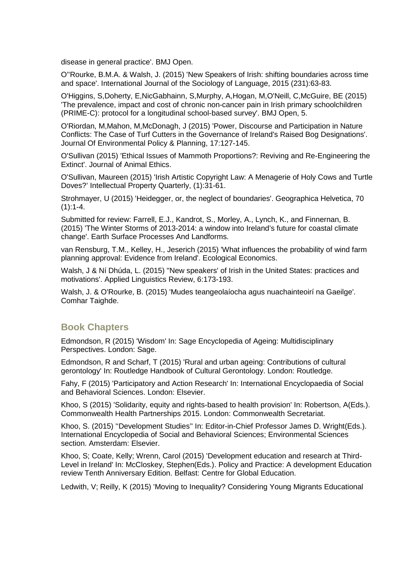disease in general practice'. BMJ Open.

O''Rourke, B.M.A. & Walsh, J. (2015) 'New Speakers of Irish: shifting boundaries across time and space'. International Journal of the Sociology of Language, 2015 (231):63-83.

O'Higgins, S,Doherty, E,NicGabhainn, S,Murphy, A,Hogan, M,O'Neill, C,McGuire, BE (2015) 'The prevalence, impact and cost of chronic non-cancer pain in Irish primary schoolchildren (PRIME-C): protocol for a longitudinal school-based survey'. BMJ Open, 5.

O'Riordan, M,Mahon, M,McDonagh, J (2015) 'Power, Discourse and Participation in Nature Conflicts: The Case of Turf Cutters in the Governance of Ireland's Raised Bog Designations'. Journal Of Environmental Policy & Planning, 17:127-145.

O'Sullivan (2015) 'Ethical Issues of Mammoth Proportions?: Reviving and Re-Engineering the Extinct'. Journal of Animal Ethics.

O'Sullivan, Maureen (2015) 'Irish Artistic Copyright Law: A Menagerie of Holy Cows and Turtle Doves?' Intellectual Property Quarterly, (1):31-61.

Strohmayer, U (2015) 'Heidegger, or, the neglect of boundaries'. Geographica Helvetica, 70  $(1):1-4.$ 

Submitted for review: Farrell, E.J., Kandrot, S., Morley, A., Lynch, K., and Finnernan, B. (2015) 'The Winter Storms of 2013-2014: a window into Ireland's future for coastal climate change'. Earth Surface Processes And Landforms.

van Rensburg, T.M., Kelley, H., Jeserich (2015) 'What influences the probability of wind farm planning approval: Evidence from Ireland'. Ecological Economics.

Walsh, J & Ní Dhúda, L. (2015) ''New speakers' of Irish in the United States: practices and motivations'. Applied Linguistics Review, 6:173-193.

Walsh, J. & O'Rourke, B. (2015) 'Mudes teangeolaíocha agus nuachainteoirí na Gaeilge'. Comhar Taighde.

#### **Book Chapters**

Edmondson, R (2015) 'Wisdom' In: Sage Encyclopedia of Ageing: Multidisciplinary Perspectives. London: Sage.

Edmondson, R and Scharf, T (2015) 'Rural and urban ageing: Contributions of cultural gerontology' In: Routledge Handbook of Cultural Gerontology. London: Routledge.

Fahy, F (2015) 'Participatory and Action Research' In: International Encyclopaedia of Social and Behavioral Sciences. London: Elsevier.

Khoo, S (2015) 'Solidarity, equity and rights-based to health provision' In: Robertson, A(Eds.). Commonwealth Health Partnerships 2015. London: Commonwealth Secretariat.

Khoo, S. (2015) ''Development Studies'' In: Editor-in-Chief Professor James D. Wright(Eds.). International Encyclopedia of Social and Behavioral Sciences; Environmental Sciences section. Amsterdam: Elsevier.

Khoo, S; Coate, Kelly; Wrenn, Carol (2015) 'Development education and research at Third-Level in Ireland' In: McCloskey, Stephen(Eds.). Policy and Practice: A development Education review Tenth Anniversary Edition. Belfast: Centre for Global Education.

Ledwith, V; Reilly, K (2015) 'Moving to Inequality? Considering Young Migrants Educational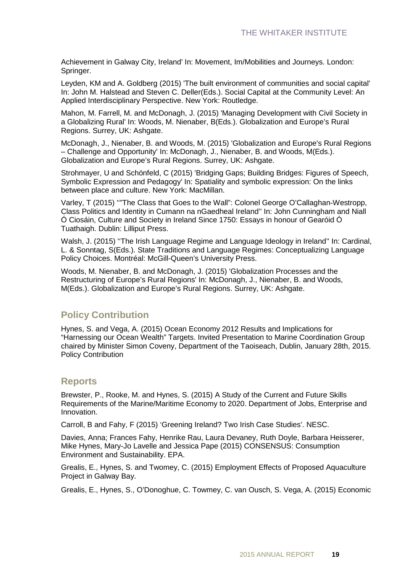Achievement in Galway City, Ireland' In: Movement, Im/Mobilities and Journeys. London: Springer.

Leyden, KM and A. Goldberg (2015) 'The built environment of communities and social capital' In: John M. Halstead and Steven C. Deller(Eds.). Social Capital at the Community Level: An Applied Interdisciplinary Perspective. New York: Routledge.

Mahon, M. Farrell, M. and McDonagh, J. (2015) 'Managing Development with Civil Society in a Globalizing Rural' In: Woods, M. Nienaber, B(Eds.). Globalization and Europe's Rural Regions. Surrey, UK: Ashgate.

McDonagh, J., Nienaber, B. and Woods, M. (2015) 'Globalization and Europe's Rural Regions – Challenge and Opportunity' In: McDonagh, J., Nienaber, B. and Woods, M(Eds.). Globalization and Europe's Rural Regions. Surrey, UK: Ashgate.

Strohmayer, U and Schönfeld, C (2015) 'Bridging Gaps; Building Bridges: Figures of Speech, Symbolic Expression and Pedagogy' In: Spatiality and symbolic expression: On the links between place and culture. New York: MacMillan.

Varley, T (2015) ''"The Class that Goes to the Wall": Colonel George O'Callaghan-Westropp, Class Politics and Identity in Cumann na nGaedheal Ireland'' In: John Cunningham and Niall Ó Ciosáin, Culture and Society in Ireland Since 1750: Essays in honour of Gearóid Ó Tuathaigh. Dublin: Lilliput Press.

Walsh, J. (2015) ''The Irish Language Regime and Language Ideology in Ireland'' In: Cardinal, L. & Sonntag, S(Eds.). State Traditions and Language Regimes: Conceptualizing Language Policy Choices. Montréal: McGill-Queen's University Press.

Woods, M. Nienaber, B. and McDonagh, J. (2015) 'Globalization Processes and the Restructuring of Europe's Rural Regions' In: McDonagh, J., Nienaber, B. and Woods, M(Eds.). Globalization and Europe's Rural Regions. Surrey, UK: Ashgate.

### **Policy Contribution**

Hynes, S. and Vega, A. (2015) Ocean Economy 2012 Results and Implications for "Harnessing our Ocean Wealth" Targets. Invited Presentation to Marine Coordination Group chaired by Minister Simon Coveny, Department of the Taoiseach, Dublin, January 28th, 2015. Policy Contribution

### **Reports**

Brewster, P., Rooke, M. and Hynes, S. (2015) A Study of the Current and Future Skills Requirements of the Marine/Maritime Economy to 2020. Department of Jobs, Enterprise and Innovation.

Carroll, B and Fahy, F (2015) 'Greening Ireland? Two Irish Case Studies'. NESC.

Davies, Anna; Frances Fahy, Henrike Rau, Laura Devaney, Ruth Doyle, Barbara Heisserer, Mike Hynes, Mary-Jo Lavelle and Jessica Pape (2015) CONSENSUS: Consumption Environment and Sustainability. EPA.

Grealis, E., Hynes, S. and Twomey, C. (2015) Employment Effects of Proposed Aquaculture Project in Galway Bay.

Grealis, E., Hynes, S., O'Donoghue, C. Towmey, C. van Ousch, S. Vega, A. (2015) Economic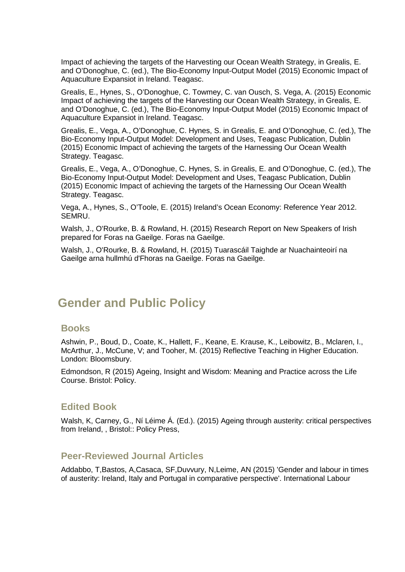Impact of achieving the targets of the Harvesting our Ocean Wealth Strategy, in Grealis, E. and O'Donoghue, C. (ed.), The Bio-Economy Input-Output Model (2015) Economic Impact of Aquaculture Expansiot in Ireland. Teagasc.

Grealis, E., Hynes, S., O'Donoghue, C. Towmey, C. van Ousch, S. Vega, A. (2015) Economic Impact of achieving the targets of the Harvesting our Ocean Wealth Strategy, in Grealis, E. and O'Donoghue, C. (ed.), The Bio-Economy Input-Output Model (2015) Economic Impact of Aquaculture Expansiot in Ireland. Teagasc.

Grealis, E., Vega, A., O'Donoghue, C. Hynes, S. in Grealis, E. and O'Donoghue, C. (ed.), The Bio-Economy Input-Output Model: Development and Uses, Teagasc Publication, Dublin (2015) Economic Impact of achieving the targets of the Harnessing Our Ocean Wealth Strategy. Teagasc.

Grealis, E., Vega, A., O'Donoghue, C. Hynes, S. in Grealis, E. and O'Donoghue, C. (ed.), The Bio-Economy Input-Output Model: Development and Uses, Teagasc Publication, Dublin (2015) Economic Impact of achieving the targets of the Harnessing Our Ocean Wealth Strategy. Teagasc.

Vega, A., Hynes, S., O'Toole, E. (2015) Ireland's Ocean Economy: Reference Year 2012. SEMRU.

Walsh, J., O'Rourke, B. & Rowland, H. (2015) Research Report on New Speakers of Irish prepared for Foras na Gaeilge. Foras na Gaeilge.

Walsh, J., O'Rourke, B. & Rowland, H. (2015) Tuarascáil Taighde ar Nuachainteoirí na Gaeilge arna hullmhú d'Fhoras na Gaeilge. Foras na Gaeilge.

### **Gender and Public Policy**

#### **Books**

Ashwin, P., Boud, D., Coate, K., Hallett, F., Keane, E. Krause, K., Leibowitz, B., Mclaren, I., McArthur, J., McCune, V; and Tooher, M. (2015) Reflective Teaching in Higher Education. London: Bloomsbury.

Edmondson, R (2015) Ageing, Insight and Wisdom: Meaning and Practice across the Life Course. Bristol: Policy.

### **Edited Book**

Walsh, K, Carney, G., Ní Léime Á. (Ed.). (2015) Ageing through austerity: critical perspectives from Ireland, , Bristol:: Policy Press,

### **Peer-Reviewed Journal Articles**

Addabbo, T,Bastos, A,Casaca, SF,Duvvury, N,Leime, AN (2015) 'Gender and labour in times of austerity: Ireland, Italy and Portugal in comparative perspective'. International Labour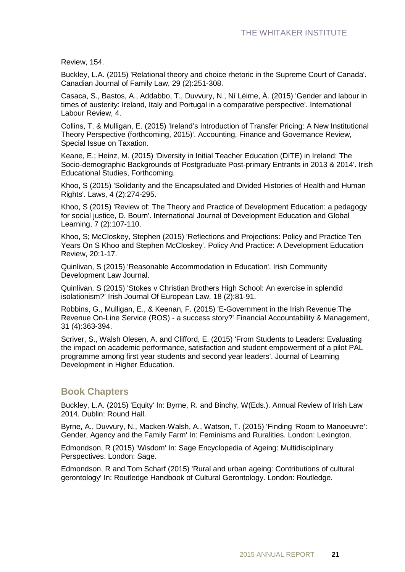Review, 154.

Buckley, L.A. (2015) 'Relational theory and choice rhetoric in the Supreme Court of Canada'. Canadian Journal of Family Law, 29 (2):251-308.

Casaca, S., Bastos, A., Addabbo, T., Duvvury, N., Ní Léime, Á. (2015) 'Gender and labour in times of austerity: Ireland, Italy and Portugal in a comparative perspective'. International Labour Review, 4.

Collins, T. & Mulligan, E. (2015) 'Ireland's Introduction of Transfer Pricing: A New Institutional Theory Perspective (forthcoming, 2015)'. Accounting, Finance and Governance Review, Special Issue on Taxation.

Keane, E.; Heinz, M. (2015) 'Diversity in Initial Teacher Education (DITE) in Ireland: The Socio-demographic Backgrounds of Postgraduate Post-primary Entrants in 2013 & 2014'. Irish Educational Studies, Forthcoming.

Khoo, S (2015) 'Solidarity and the Encapsulated and Divided Histories of Health and Human Rights'. Laws, 4 (2):274-295.

Khoo, S (2015) 'Review of: The Theory and Practice of Development Education: a pedagogy for social justice, D. Bourn'. International Journal of Development Education and Global Learning, 7 (2):107-110.

Khoo, S; McCloskey, Stephen (2015) 'Reflections and Projections: Policy and Practice Ten Years On S Khoo and Stephen McCloskey'. Policy And Practice: A Development Education Review, 20:1-17.

Quinlivan, S (2015) 'Reasonable Accommodation in Education'. Irish Community Development Law Journal.

Quinlivan, S (2015) 'Stokes v Christian Brothers High School: An exercise in splendid isolationism?' Irish Journal Of European Law, 18 (2):81-91.

Robbins, G., Mulligan, E., & Keenan, F. (2015) 'E-Government in the Irish Revenue:The Revenue On-Line Service (ROS) - a success story?' Financial Accountability & Management, 31 (4):363-394.

Scriver, S., Walsh Olesen, A. and Clifford, E. (2015) 'From Students to Leaders: Evaluating the impact on academic performance, satisfaction and student empowerment of a pilot PAL programme among first year students and second year leaders'. Journal of Learning Development in Higher Education.

### **Book Chapters**

Buckley, L.A. (2015) 'Equity' In: Byrne, R. and Binchy, W(Eds.). Annual Review of Irish Law 2014. Dublin: Round Hall.

Byrne, A., Duvvury, N., Macken-Walsh, A., Watson, T. (2015) 'Finding 'Room to Manoeuvre': Gender, Agency and the Family Farm' In: Feminisms and Ruralities. London: Lexington.

Edmondson, R (2015) 'Wisdom' In: Sage Encyclopedia of Ageing: Multidisciplinary Perspectives. London: Sage.

Edmondson, R and Tom Scharf (2015) 'Rural and urban ageing: Contributions of cultural gerontology' In: Routledge Handbook of Cultural Gerontology. London: Routledge.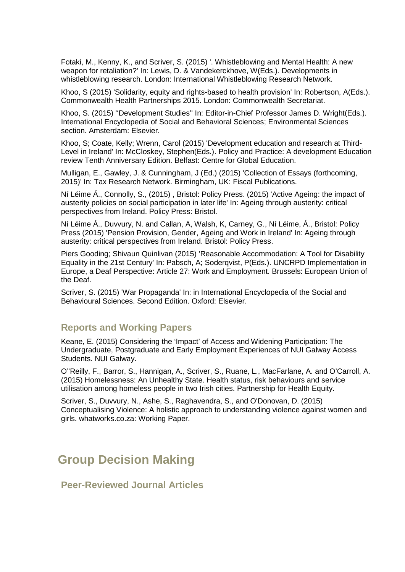Fotaki, M., Kenny, K., and Scriver, S. (2015) '. Whistleblowing and Mental Health: A new weapon for retaliation?' In: Lewis, D. & Vandekerckhove, W(Eds.). Developments in whistleblowing research. London: International Whistleblowing Research Network.

Khoo, S (2015) 'Solidarity, equity and rights-based to health provision' In: Robertson, A(Eds.). Commonwealth Health Partnerships 2015. London: Commonwealth Secretariat.

Khoo, S. (2015) ''Development Studies'' In: Editor-in-Chief Professor James D. Wright(Eds.). International Encyclopedia of Social and Behavioral Sciences; Environmental Sciences section. Amsterdam: Elsevier.

Khoo, S; Coate, Kelly; Wrenn, Carol (2015) 'Development education and research at Third-Level in Ireland' In: McCloskey, Stephen(Eds.). Policy and Practice: A development Education review Tenth Anniversary Edition. Belfast: Centre for Global Education.

Mulligan, E., Gawley, J. & Cunningham, J (Ed.) (2015) 'Collection of Essays (forthcoming, 2015)' In: Tax Research Network. Birmingham, UK: Fiscal Publications.

Ní Léime Á., Connolly, S., (2015) , Bristol: Policy Press. (2015) 'Active Ageing: the impact of austerity policies on social participation in later life' In: Ageing through austerity: critical perspectives from Ireland. Policy Press: Bristol.

Ní Léime Á., Duvvury, N. and Callan, A, Walsh, K, Carney, G., Ní Léime, Á., Bristol: Policy Press (2015) 'Pension Provision, Gender, Ageing and Work in Ireland' In: Ageing through austerity: critical perspectives from Ireland. Bristol: Policy Press.

Piers Gooding; Shivaun Quinlivan (2015) 'Reasonable Accommodation: A Tool for Disability Equality in the 21st Century' In: Pabsch, A; Soderqvist, P(Eds.). UNCRPD Implementation in Europe, a Deaf Perspective: Article 27: Work and Employment. Brussels: European Union of the Deaf.

Scriver, S. (2015) 'War Propaganda' In: in International Encyclopedia of the Social and Behavioural Sciences. Second Edition. Oxford: Elsevier.

### **Reports and Working Papers**

Keane, E. (2015) Considering the 'Impact' of Access and Widening Participation: The Undergraduate, Postgraduate and Early Employment Experiences of NUI Galway Access Students. NUI Galway.

O''Reilly, F., Barror, S., Hannigan, A., Scriver, S., Ruane, L., MacFarlane, A. and O'Carroll, A. (2015) Homelessness: An Unhealthy State. Health status, risk behaviours and service utilisation among homeless people in two Irish cities. Partnership for Health Equity.

Scriver, S., Duvvury, N., Ashe, S., Raghavendra, S., and O'Donovan, D. (2015) Conceptualising Violence: A holistic approach to understanding violence against women and girls. whatworks.co.za: Working Paper.

### **Group Decision Making**

**Peer-Reviewed Journal Articles**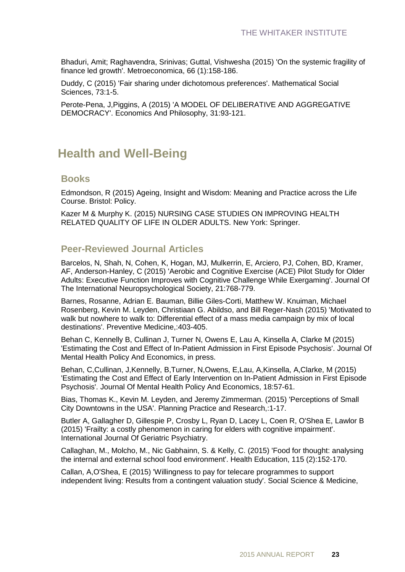Bhaduri, Amit; Raghavendra, Srinivas; Guttal, Vishwesha (2015) 'On the systemic fragility of finance led growth'. Metroeconomica, 66 (1):158-186.

Duddy, C (2015) 'Fair sharing under dichotomous preferences'. Mathematical Social Sciences, 73:1-5.

Perote-Pena, J,Piggins, A (2015) 'A MODEL OF DELIBERATIVE AND AGGREGATIVE DEMOCRACY'. Economics And Philosophy, 31:93-121.

### **Health and Well-Being**

#### **Books**

Edmondson, R (2015) Ageing, Insight and Wisdom: Meaning and Practice across the Life Course. Bristol: Policy.

Kazer M & Murphy K. (2015) NURSING CASE STUDIES ON IMPROVING HEALTH RELATED QUALITY OF LIFE IN OLDER ADULTS. New York: Springer.

### **Peer-Reviewed Journal Articles**

Barcelos, N, Shah, N, Cohen, K, Hogan, MJ, Mulkerrin, E, Arciero, PJ, Cohen, BD, Kramer, AF, Anderson-Hanley, C (2015) 'Aerobic and Cognitive Exercise (ACE) Pilot Study for Older Adults: Executive Function Improves with Cognitive Challenge While Exergaming'. Journal Of The International Neuropsychological Society, 21:768-779.

Barnes, Rosanne, Adrian E. Bauman, Billie Giles-Corti, Matthew W. Knuiman, Michael Rosenberg, Kevin M. Leyden, Christiaan G. Abildso, and Bill Reger-Nash (2015) 'Motivated to walk but nowhere to walk to: Differential effect of a mass media campaign by mix of local destinations'. Preventive Medicine,:403-405.

Behan C, Kennelly B, Cullinan J, Turner N, Owens E, Lau A, Kinsella A, Clarke M (2015) 'Estimating the Cost and Effect of In-Patient Admission in First Episode Psychosis'. Journal Of Mental Health Policy And Economics, in press.

Behan, C,Cullinan, J,Kennelly, B,Turner, N,Owens, E,Lau, A,Kinsella, A,Clarke, M (2015) 'Estimating the Cost and Effect of Early Intervention on In-Patient Admission in First Episode Psychosis'. Journal Of Mental Health Policy And Economics, 18:57-61.

Bias, Thomas K., Kevin M. Leyden, and Jeremy Zimmerman. (2015) 'Perceptions of Small City Downtowns in the USA'. Planning Practice and Research,:1-17.

Butler A, Gallagher D, Gillespie P, Crosby L, Ryan D, Lacey L, Coen R, O'Shea E, Lawlor B (2015) 'Frailty: a costly phenomenon in caring for elders with cognitive impairment'. International Journal Of Geriatric Psychiatry.

Callaghan, M., Molcho, M., Nic Gabhainn, S. & Kelly, C. (2015) 'Food for thought: analysing the internal and external school food environment'. Health Education, 115 (2):152-170.

Callan, A,O'Shea, E (2015) 'Willingness to pay for telecare programmes to support independent living: Results from a contingent valuation study'. Social Science & Medicine,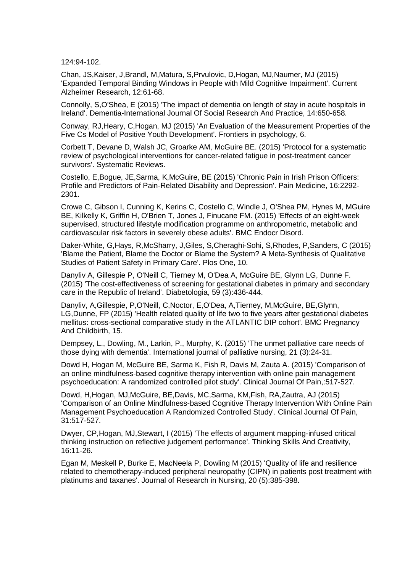124:94-102.

Chan, JS,Kaiser, J,Brandl, M,Matura, S,Prvulovic, D,Hogan, MJ,Naumer, MJ (2015) 'Expanded Temporal Binding Windows in People with Mild Cognitive Impairment'. Current Alzheimer Research, 12:61-68.

Connolly, S,O'Shea, E (2015) 'The impact of dementia on length of stay in acute hospitals in Ireland'. Dementia-International Journal Of Social Research And Practice, 14:650-658.

Conway, RJ,Heary, C,Hogan, MJ (2015) 'An Evaluation of the Measurement Properties of the Five Cs Model of Positive Youth Development'. Frontiers in psychology, 6.

Corbett T, Devane D, Walsh JC, Groarke AM, McGuire BE. (2015) 'Protocol for a systematic review of psychological interventions for cancer-related fatigue in post-treatment cancer survivors'. Systematic Reviews.

Costello, E,Bogue, JE,Sarma, K,McGuire, BE (2015) 'Chronic Pain in Irish Prison Officers: Profile and Predictors of Pain-Related Disability and Depression'. Pain Medicine, 16:2292- 2301.

Crowe C, Gibson I, Cunning K, Kerins C, Costello C, Windle J, O'Shea PM, Hynes M, MGuire BE, Kilkelly K, Griffin H, O'Brien T, Jones J, Finucane FM. (2015) 'Effects of an eight-week supervised, structured lifestyle modification programme on anthropometric, metabolic and cardiovascular risk factors in severely obese adults'. BMC Endocr Disord.

Daker-White, G,Hays, R,McSharry, J,Giles, S,Cheraghi-Sohi, S,Rhodes, P,Sanders, C (2015) 'Blame the Patient, Blame the Doctor or Blame the System? A Meta-Synthesis of Qualitative Studies of Patient Safety in Primary Care'. Plos One, 10.

Danyliv A, Gillespie P, O'Neill C, Tierney M, O'Dea A, McGuire BE, Glynn LG, Dunne F. (2015) 'The cost-effectiveness of screening for gestational diabetes in primary and secondary care in the Republic of Ireland'. Diabetologia, 59 (3):436-444.

Danyliv, A,Gillespie, P,O'Neill, C,Noctor, E,O'Dea, A,Tierney, M,McGuire, BE,Glynn, LG,Dunne, FP (2015) 'Health related quality of life two to five years after gestational diabetes mellitus: cross-sectional comparative study in the ATLANTIC DIP cohort'. BMC Pregnancy And Childbirth, 15.

Dempsey, L., Dowling, M., Larkin, P., Murphy, K. (2015) 'The unmet palliative care needs of those dying with dementia'. International journal of palliative nursing, 21 (3):24-31.

Dowd H, Hogan M, McGuire BE, Sarma K, Fish R, Davis M, Zauta A. (2015) 'Comparison of an online mindfulness-based cognitive therapy intervention with online pain management psychoeducation: A randomized controlled pilot study'. Clinical Journal Of Pain,:517-527.

Dowd, H,Hogan, MJ,McGuire, BE,Davis, MC,Sarma, KM,Fish, RA,Zautra, AJ (2015) 'Comparison of an Online Mindfulness-based Cognitive Therapy Intervention With Online Pain Management Psychoeducation A Randomized Controlled Study'. Clinical Journal Of Pain, 31:517-527.

Dwyer, CP,Hogan, MJ,Stewart, I (2015) 'The effects of argument mapping-infused critical thinking instruction on reflective judgement performance'. Thinking Skills And Creativity, 16:11-26.

Egan M, Meskell P, Burke E, MacNeela P, Dowling M (2015) 'Quality of life and resilience related to chemotherapy-induced peripheral neuropathy (CIPN) in patients post treatment with platinums and taxanes'. Journal of Research in Nursing, 20 (5):385-398.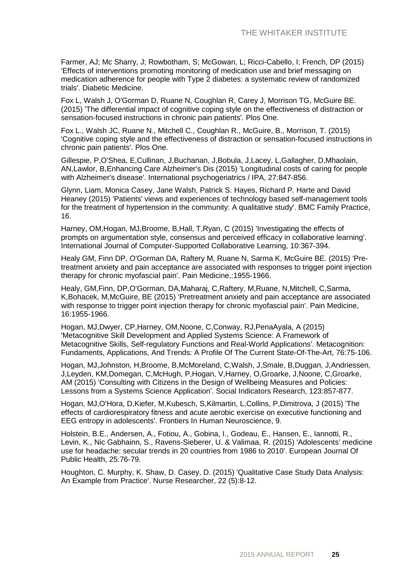Farmer, AJ; Mc Sharry, J; Rowbotham, S; McGowan, L; Ricci-Cabello, I; French, DP (2015) 'Effects of interventions promoting monitoring of medication use and brief messaging on medication adherence for people with Type 2 diabetes: a systematic review of randomized trials'. Diabetic Medicine.

Fox L, Walsh J, O'Gorman D, Ruane N, Coughlan R, Carey J, Morrison TG, McGuire BE. (2015) 'The differential impact of cognitive coping style on the effectiveness of distraction or sensation-focused instructions in chronic pain patients'. Plos One.

Fox L., Walsh JC, Ruane N., Mitchell C., Coughlan R., McGuire, B., Morrison, T. (2015) 'Cognitive coping style and the effectiveness of distraction or sensation-focused instructions in chronic pain patients'. Plos One.

Gillespie, P,O'Shea, E,Cullinan, J,Buchanan, J,Bobula, J,Lacey, L,Gallagher, D,Mhaolain, AN,Lawlor, B,Enhancing Care Alzheimer's Dis (2015) 'Longitudinal costs of caring for people with Alzheimer's disease'. International psychogeriatrics / IPA, 27:847-856.

Glynn, Liam, Monica Casey, Jane Walsh, Patrick S. Hayes, Richard P. Harte and David Heaney (2015) 'Patients' views and experiences of technology based self-management tools for the treatment of hypertension in the community: A qualitative study'. BMC Family Practice, 16.

Harney, OM,Hogan, MJ,Broome, B,Hall, T,Ryan, C (2015) 'Investigating the effects of prompts on argumentation style, consensus and perceived efficacy in collaborative learning'. International Journal of Computer-Supported Collaborative Learning, 10:367-394.

Healy GM, Finn DP, O'Gorman DA, Raftery M, Ruane N, Sarma K, McGuire BE. (2015) 'Pretreatment anxiety and pain acceptance are associated with responses to trigger point injection therapy for chronic myofascial pain'. Pain Medicine,:1955-1966.

Healy, GM,Finn, DP,O'Gorman, DA,Maharaj, C,Raftery, M,Ruane, N,Mitchell, C,Sarma, K,Bohacek, M,McGuire, BE (2015) 'Pretreatment anxiety and pain acceptance are associated with response to trigger point injection therapy for chronic myofascial pain'. Pain Medicine, 16:1955-1966.

Hogan, MJ,Dwyer, CP,Harney, OM,Noone, C,Conway, RJ,PenaAyala, A (2015) 'Metacognitive Skill Development and Applied Systems Science: A Framework of Metacognitive Skills, Self-regulatory Functions and Real-World Applications'. Metacognition: Fundaments, Applications, And Trends: A Profile Of The Current State-Of-The-Art, 76:75-106.

Hogan, MJ,Johnston, H,Broome, B,McMoreland, C,Walsh, J,Smale, B,Duggan, J,Andriessen, J,Leyden, KM,Domegan, C,McHugh, P,Hogan, V,Harney, O,Groarke, J,Noone, C,Groarke, AM (2015) 'Consulting with Citizens in the Design of Wellbeing Measures and Policies: Lessons from a Systems Science Application'. Social Indicators Research, 123:857-877.

Hogan, MJ,O'Hora, D,Kiefer, M,Kubesch, S,Kilmartin, L,Collins, P,Dimitrova, J (2015) 'The effects of cardiorespiratory fitness and acute aerobic exercise on executive functioning and EEG entropy in adolescents'. Frontiers In Human Neuroscience, 9.

Holstein, B.E., Andersen, A., Fotiou, A., Gobina, I., Godeau, E., Hansen, E., Iannotti, R., Levin, K., Nic Gabhainn, S., Ravens-Sieberer, U. & Valimaa, R. (2015) 'Adolescents' medicine use for headache: secular trends in 20 countries from 1986 to 2010'. European Journal Of Public Health, 25:76-79.

Houghton, C. Murphy, K. Shaw, D. Casey, D. (2015) 'Qualitative Case Study Data Analysis: An Example from Practice'. Nurse Researcher, 22 (5):8-12.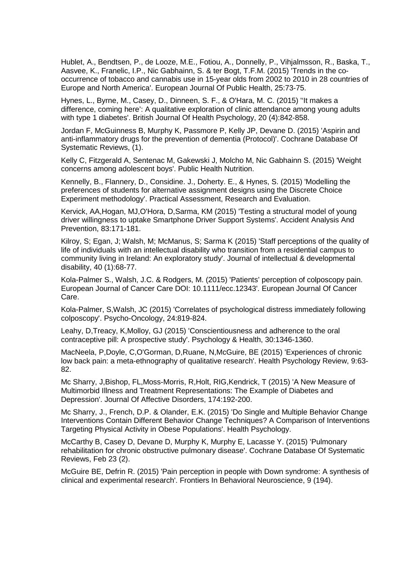Hublet, A., Bendtsen, P., de Looze, M.E., Fotiou, A., Donnelly, P., Vihjalmsson, R., Baska, T., Aasvee, K., Franelic, I.P., Nic Gabhainn, S. & ter Bogt, T.F.M. (2015) 'Trends in the cooccurrence of tobacco and cannabis use in 15-year olds from 2002 to 2010 in 28 countries of Europe and North America'. European Journal Of Public Health, 25:73-75.

Hynes, L., Byrne, M., Casey, D., Dinneen, S. F., & O'Hara, M. C. (2015) ''It makes a difference, coming here': A qualitative exploration of clinic attendance among young adults with type 1 diabetes'. British Journal Of Health Psychology, 20 (4):842-858.

Jordan F, McGuinness B, Murphy K, Passmore P, Kelly JP, Devane D. (2015) 'Aspirin and anti-inflammatory drugs for the prevention of dementia (Protocol)'. Cochrane Database Of Systematic Reviews, (1).

Kelly C, Fitzgerald A, Sentenac M, Gakewski J, Molcho M, Nic Gabhainn S. (2015) 'Weight concerns among adolescent boys'. Public Health Nutrition.

Kennelly, B., Flannery, D., Considine. J., Doherty. E., & Hynes, S. (2015) 'Modelling the preferences of students for alternative assignment designs using the Discrete Choice Experiment methodology'. Practical Assessment, Research and Evaluation.

Kervick, AA,Hogan, MJ,O'Hora, D,Sarma, KM (2015) 'Testing a structural model of young driver willingness to uptake Smartphone Driver Support Systems'. Accident Analysis And Prevention, 83:171-181.

Kilroy, S; Egan, J; Walsh, M; McManus, S; Sarma K (2015) 'Staff perceptions of the quality of life of individuals with an intellectual disability who transition from a residential campus to community living in Ireland: An exploratory study'. Journal of intellectual & developmental disability, 40 (1):68-77.

Kola-Palmer S., Walsh, J.C. & Rodgers, M. (2015) 'Patients' perception of colposcopy pain. European Journal of Cancer Care DOI: 10.1111/ecc.12343'. European Journal Of Cancer Care.

Kola-Palmer, S,Walsh, JC (2015) 'Correlates of psychological distress immediately following colposcopy'. Psycho-Oncology, 24:819-824.

Leahy, D,Treacy, K,Molloy, GJ (2015) 'Conscientiousness and adherence to the oral contraceptive pill: A prospective study'. Psychology & Health, 30:1346-1360.

MacNeela, P,Doyle, C,O'Gorman, D,Ruane, N,McGuire, BE (2015) 'Experiences of chronic low back pain: a meta-ethnography of qualitative research'. Health Psychology Review, 9:63- 82.

Mc Sharry, J,Bishop, FL,Moss-Morris, R,Holt, RIG,Kendrick, T (2015) 'A New Measure of Multimorbid Illness and Treatment Representations: The Example of Diabetes and Depression'. Journal Of Affective Disorders, 174:192-200.

Mc Sharry, J., French, D.P. & Olander, E.K. (2015) 'Do Single and Multiple Behavior Change Interventions Contain Different Behavior Change Techniques? A Comparison of Interventions Targeting Physical Activity in Obese Populations'. Health Psychology.

McCarthy B, Casey D, Devane D, Murphy K, Murphy E, Lacasse Y. (2015) 'Pulmonary rehabilitation for chronic obstructive pulmonary disease'. Cochrane Database Of Systematic Reviews, Feb 23 (2).

McGuire BE, Defrin R. (2015) 'Pain perception in people with Down syndrome: A synthesis of clinical and experimental research'. Frontiers In Behavioral Neuroscience, 9 (194).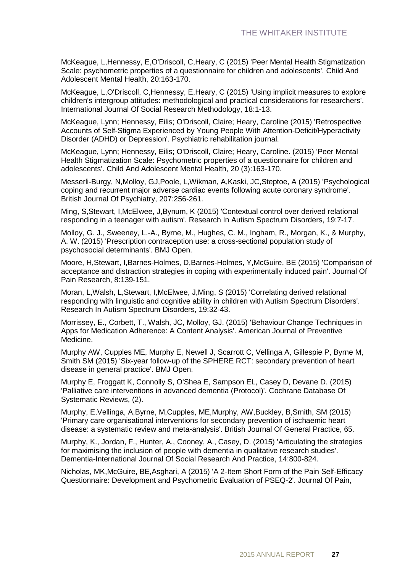McKeague, L,Hennessy, E,O'Driscoll, C,Heary, C (2015) 'Peer Mental Health Stigmatization Scale: psychometric properties of a questionnaire for children and adolescents'. Child And Adolescent Mental Health, 20:163-170.

McKeague, L,O'Driscoll, C,Hennessy, E,Heary, C (2015) 'Using implicit measures to explore children's intergroup attitudes: methodological and practical considerations for researchers'. International Journal Of Social Research Methodology, 18:1-13.

McKeague, Lynn; Hennessy, Eilis; O'Driscoll, Claire; Heary, Caroline (2015) 'Retrospective Accounts of Self-Stigma Experienced by Young People With Attention-Deficit/Hyperactivity Disorder (ADHD) or Depression'. Psychiatric rehabilitation journal.

McKeague, Lynn; Hennessy, Eilis; O'Driscoll, Claire; Heary, Caroline. (2015) 'Peer Mental Health Stigmatization Scale: Psychometric properties of a questionnaire for children and adolescents'. Child And Adolescent Mental Health, 20 (3):163-170.

Messerli-Burgy, N,Molloy, GJ,Poole, L,Wikman, A,Kaski, JC,Steptoe, A (2015) 'Psychological coping and recurrent major adverse cardiac events following acute coronary syndrome'. British Journal Of Psychiatry, 207:256-261.

Ming, S,Stewart, I,McElwee, J,Bynum, K (2015) 'Contextual control over derived relational responding in a teenager with autism'. Research In Autism Spectrum Disorders, 19:7-17.

Molloy, G. J., Sweeney, L.-A., Byrne, M., Hughes, C. M., Ingham, R., Morgan, K., & Murphy, A. W. (2015) 'Prescription contraception use: a cross-sectional population study of psychosocial determinants'. BMJ Open.

Moore, H,Stewart, I,Barnes-Holmes, D,Barnes-Holmes, Y,McGuire, BE (2015) 'Comparison of acceptance and distraction strategies in coping with experimentally induced pain'. Journal Of Pain Research, 8:139-151.

Moran, L,Walsh, L,Stewart, I,McElwee, J,Ming, S (2015) 'Correlating derived relational responding with linguistic and cognitive ability in children with Autism Spectrum Disorders'. Research In Autism Spectrum Disorders, 19:32-43.

Morrissey, E., Corbett, T., Walsh, JC, Molloy, GJ. (2015) 'Behaviour Change Techniques in Apps for Medication Adherence: A Content Analysis'. American Journal of Preventive Medicine.

Murphy AW, Cupples ME, Murphy E, Newell J, Scarrott C, Vellinga A, Gillespie P, Byrne M, Smith SM (2015) 'Six-year follow-up of the SPHERE RCT: secondary prevention of heart disease in general practice'. BMJ Open.

Murphy E, Froggatt K, Connolly S, O'Shea E, Sampson EL, Casey D, Devane D. (2015) 'Palliative care interventions in advanced dementia (Protocol)'. Cochrane Database Of Systematic Reviews, (2).

Murphy, E,Vellinga, A,Byrne, M,Cupples, ME,Murphy, AW,Buckley, B,Smith, SM (2015) 'Primary care organisational interventions for secondary prevention of ischaemic heart disease: a systematic review and meta-analysis'. British Journal Of General Practice, 65.

Murphy, K., Jordan, F., Hunter, A., Cooney, A., Casey, D. (2015) 'Articulating the strategies for maximising the inclusion of people with dementia in qualitative research studies'. Dementia-International Journal Of Social Research And Practice, 14:800-824.

Nicholas, MK,McGuire, BE,Asghari, A (2015) 'A 2-Item Short Form of the Pain Self-Efficacy Questionnaire: Development and Psychometric Evaluation of PSEQ-2'. Journal Of Pain,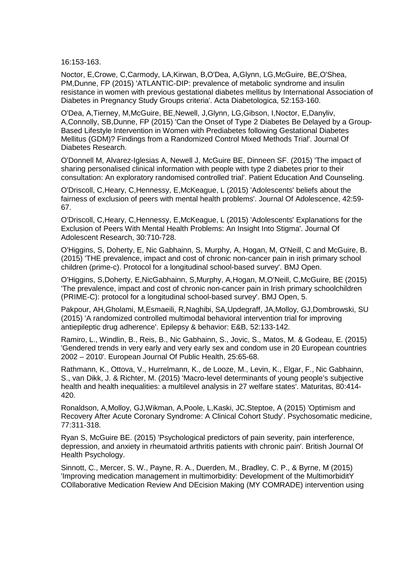16:153-163.

Noctor, E,Crowe, C,Carmody, LA,Kirwan, B,O'Dea, A,Glynn, LG,McGuire, BE,O'Shea, PM,Dunne, FP (2015) 'ATLANTIC-DIP: prevalence of metabolic syndrome and insulin resistance in women with previous gestational diabetes mellitus by International Association of Diabetes in Pregnancy Study Groups criteria'. Acta Diabetologica, 52:153-160.

O'Dea, A,Tierney, M,McGuire, BE,Newell, J,Glynn, LG,Gibson, I,Noctor, E,Danyliv, A,Connolly, SB,Dunne, FP (2015) 'Can the Onset of Type 2 Diabetes Be Delayed by a Group-Based Lifestyle Intervention in Women with Prediabetes following Gestational Diabetes Mellitus (GDM)? Findings from a Randomized Control Mixed Methods Trial'. Journal Of Diabetes Research.

O'Donnell M, Alvarez-Iglesias A, Newell J, McGuire BE, Dinneen SF. (2015) 'The impact of sharing personalised clinical information with people with type 2 diabetes prior to their consultation: An exploratory randomised controlled trial'. Patient Education And Counseling.

O'Driscoll, C,Heary, C,Hennessy, E,McKeague, L (2015) 'Adolescents' beliefs about the fairness of exclusion of peers with mental health problems'. Journal Of Adolescence, 42:59- 67.

O'Driscoll, C,Heary, C,Hennessy, E,McKeague, L (2015) 'Adolescents' Explanations for the Exclusion of Peers With Mental Health Problems: An Insight Into Stigma'. Journal Of Adolescent Research, 30:710-728.

O'Higgins, S, Doherty, E, Nic Gabhainn, S, Murphy, A, Hogan, M, O'Neill, C and McGuire, B. (2015) 'THE prevalence, impact and cost of chronic non-cancer pain in irish primary school children (prime-c). Protocol for a longitudinal school-based survey'. BMJ Open.

O'Higgins, S,Doherty, E,NicGabhainn, S,Murphy, A,Hogan, M,O'Neill, C,McGuire, BE (2015) 'The prevalence, impact and cost of chronic non-cancer pain in Irish primary schoolchildren (PRIME-C): protocol for a longitudinal school-based survey'. BMJ Open, 5.

Pakpour, AH,Gholami, M,Esmaeili, R,Naghibi, SA,Updegraff, JA,Molloy, GJ,Dombrowski, SU (2015) 'A randomized controlled multimodal behavioral intervention trial for improving antiepileptic drug adherence'. Epilepsy & behavior: E&B, 52:133-142.

Ramiro, L., Windlin, B., Reis, B., Nic Gabhainn, S., Jovic, S., Matos, M. & Godeau, E. (2015) 'Gendered trends in very early and very early sex and condom use in 20 European countries 2002 – 2010'. European Journal Of Public Health, 25:65-68.

Rathmann, K., Ottova, V., Hurrelmann, K., de Looze, M., Levin, K., Elgar, F., Nic Gabhainn, S., van Dikk, J. & Richter, M. (2015) 'Macro-level determinants of young people's subjective health and health inequalities: a multilevel analysis in 27 welfare states'. Maturitas, 80:414- 420.

Ronaldson, A,Molloy, GJ,Wikman, A,Poole, L,Kaski, JC,Steptoe, A (2015) 'Optimism and Recovery After Acute Coronary Syndrome: A Clinical Cohort Study'. Psychosomatic medicine, 77:311-318.

Ryan S, McGuire BE. (2015) 'Psychological predictors of pain severity, pain interference, depression, and anxiety in rheumatoid arthritis patients with chronic pain'. British Journal Of Health Psychology.

Sinnott, C., Mercer, S. W., Payne, R. A., Duerden, M., Bradley, C. P., & Byrne, M (2015) 'Improving medication management in multimorbidity: Development of the MultimorbiditY COllaborative Medication Review And DEcision Making (MY COMRADE) intervention using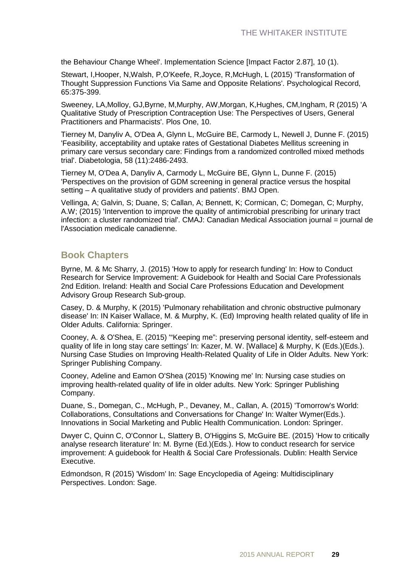the Behaviour Change Wheel'. Implementation Science [Impact Factor 2.87], 10 (1).

Stewart, I,Hooper, N,Walsh, P,O'Keefe, R,Joyce, R,McHugh, L (2015) 'Transformation of Thought Suppression Functions Via Same and Opposite Relations'. Psychological Record, 65:375-399.

Sweeney, LA,Molloy, GJ,Byrne, M,Murphy, AW,Morgan, K,Hughes, CM,Ingham, R (2015) 'A Qualitative Study of Prescription Contraception Use: The Perspectives of Users, General Practitioners and Pharmacists'. Plos One, 10.

Tierney M, Danyliv A, O'Dea A, Glynn L, McGuire BE, Carmody L, Newell J, Dunne F. (2015) 'Feasibility, acceptability and uptake rates of Gestational Diabetes Mellitus screening in primary care versus secondary care: Findings from a randomized controlled mixed methods trial'. Diabetologia, 58 (11):2486-2493.

Tierney M, O'Dea A, Danyliv A, Carmody L, McGuire BE, Glynn L, Dunne F. (2015) 'Perspectives on the provision of GDM screening in general practice versus the hospital setting – A qualitative study of providers and patients'. BMJ Open.

Vellinga, A; Galvin, S; Duane, S; Callan, A; Bennett, K; Cormican, C; Domegan, C; Murphy, A.W; (2015) 'Intervention to improve the quality of antimicrobial prescribing for urinary tract infection: a cluster randomized trial'. CMAJ: Canadian Medical Association journal = journal de l'Association medicale canadienne.

### **Book Chapters**

Byrne, M. & Mc Sharry, J. (2015) 'How to apply for research funding' In: How to Conduct Research for Service Improvement: A Guidebook for Health and Social Care Professionals 2nd Edition. Ireland: Health and Social Care Professions Education and Development Advisory Group Research Sub-group.

Casey, D. & Murphy, K (2015) 'Pulmonary rehabilitation and chronic obstructive pulmonary disease' In: IN Kaiser Wallace, M. & Murphy, K. (Ed) Improving health related quality of life in Older Adults. California: Springer.

Cooney, A. & O'Shea, E. (2015) '"Keeping me": preserving personal identity, self-esteem and quality of life in long stay care settings' In: Kazer, M. W. [Wallace] & Murphy, K (Eds.)(Eds.). Nursing Case Studies on Improving Health-Related Quality of Life in Older Adults. New York: Springer Publishing Company.

Cooney, Adeline and Eamon O'Shea (2015) 'Knowing me' In: Nursing case studies on improving health-related quality of life in older adults. New York: Springer Publishing Company.

Duane, S., Domegan, C., McHugh, P., Devaney, M., Callan, A. (2015) 'Tomorrow's World: Collaborations, Consultations and Conversations for Change' In: Walter Wymer(Eds.). Innovations in Social Marketing and Public Health Communication. London: Springer.

Dwyer C, Quinn C, O'Connor L, Slattery B, O'Higgins S, McGuire BE. (2015) 'How to critically analyse research literature' In: M. Byrne (Ed.)(Eds.). How to conduct research for service improvement: A guidebook for Health & Social Care Professionals. Dublin: Health Service Executive.

Edmondson, R (2015) 'Wisdom' In: Sage Encyclopedia of Ageing: Multidisciplinary Perspectives. London: Sage.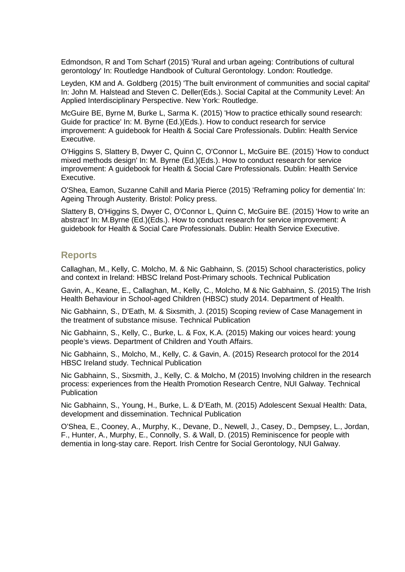Edmondson, R and Tom Scharf (2015) 'Rural and urban ageing: Contributions of cultural gerontology' In: Routledge Handbook of Cultural Gerontology. London: Routledge.

Leyden, KM and A. Goldberg (2015) 'The built environment of communities and social capital' In: John M. Halstead and Steven C. Deller(Eds.). Social Capital at the Community Level: An Applied Interdisciplinary Perspective. New York: Routledge.

McGuire BE, Byrne M, Burke L, Sarma K. (2015) 'How to practice ethically sound research: Guide for practice' In: M. Byrne (Ed.)(Eds.). How to conduct research for service improvement: A guidebook for Health & Social Care Professionals. Dublin: Health Service Executive.

O'Higgins S, Slattery B, Dwyer C, Quinn C, O'Connor L, McGuire BE. (2015) 'How to conduct mixed methods design' In: M. Byrne (Ed.)(Eds.). How to conduct research for service improvement: A guidebook for Health & Social Care Professionals. Dublin: Health Service Executive.

O'Shea, Eamon, Suzanne Cahill and Maria Pierce (2015) 'Reframing policy for dementia' In: Ageing Through Austerity. Bristol: Policy press.

Slattery B, O'Higgins S, Dwyer C, O'Connor L, Quinn C, McGuire BE. (2015) 'How to write an abstract' In: M.Byrne (Ed.)(Eds.). How to conduct research for service improvement: A guidebook for Health & Social Care Professionals. Dublin: Health Service Executive.

#### **Reports**

Callaghan, M., Kelly, C. Molcho, M. & Nic Gabhainn, S. (2015) School characteristics, policy and context in Ireland: HBSC Ireland Post-Primary schools. Technical Publication

Gavin, A., Keane, E., Callaghan, M., Kelly, C., Molcho, M & Nic Gabhainn, S. (2015) The Irish Health Behaviour in School-aged Children (HBSC) study 2014. Department of Health.

Nic Gabhainn, S., D'Eath, M. & Sixsmith, J. (2015) Scoping review of Case Management in the treatment of substance misuse. Technical Publication

Nic Gabhainn, S., Kelly, C., Burke, L. & Fox, K.A. (2015) Making our voices heard: young people's views. Department of Children and Youth Affairs.

Nic Gabhainn, S., Molcho, M., Kelly, C. & Gavin, A. (2015) Research protocol for the 2014 HBSC Ireland study. Technical Publication

Nic Gabhainn, S., Sixsmith, J., Kelly, C. & Molcho, M (2015) Involving children in the research process: experiences from the Health Promotion Research Centre, NUI Galway. Technical **Publication** 

Nic Gabhainn, S., Young, H., Burke, L. & D'Eath, M. (2015) Adolescent Sexual Health: Data, development and dissemination. Technical Publication

O'Shea, E., Cooney, A., Murphy, K., Devane, D., Newell, J., Casey, D., Dempsey, L., Jordan, F., Hunter, A., Murphy, E., Connolly, S. & Wall, D. (2015) Reminiscence for people with dementia in long-stay care. Report. Irish Centre for Social Gerontology, NUI Galway.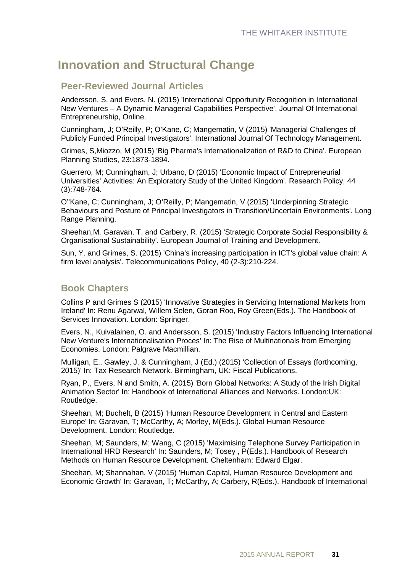### **Innovation and Structural Change**

### **Peer-Reviewed Journal Articles**

Andersson, S. and Evers, N. (2015) 'International Opportunity Recognition in International New Ventures – A Dynamic Managerial Capabilities Perspective'. Journal Of International Entrepreneurship, Online.

Cunningham, J; O'Reilly, P; O'Kane, C; Mangematin, V (2015) 'Managerial Challenges of Publicly Funded Principal Investigators'. International Journal Of Technology Management.

Grimes, S,Miozzo, M (2015) 'Big Pharma's Internationalization of R&D to China'. European Planning Studies, 23:1873-1894.

Guerrero, M; Cunningham, J; Urbano, D (2015) 'Economic Impact of Entrepreneurial Universities' Activities: An Exploratory Study of the United Kingdom'. Research Policy, 44 (3):748-764.

O''Kane, C; Cunningham, J; O'Reilly, P; Mangematin, V (2015) 'Underpinning Strategic Behaviours and Posture of Principal Investigators in Transition/Uncertain Environments'. Long Range Planning.

Sheehan,M. Garavan, T. and Carbery, R. (2015) 'Strategic Corporate Social Responsibility & Organisational Sustainability'. European Journal of Training and Development.

Sun, Y. and Grimes, S. (2015) 'China's increasing participation in ICT's global value chain: A firm level analysis'. Telecommunications Policy, 40 (2-3):210-224.

### **Book Chapters**

Collins P and Grimes S (2015) 'Innovative Strategies in Servicing International Markets from Ireland' In: Renu Agarwal, Willem Selen, Goran Roo, Roy Green(Eds.). The Handbook of Services Innovation. London: Springer.

Evers, N., Kuivalainen, O. and Andersson, S. (2015) 'Industry Factors Influencing International New Venture's Internationalisation Proces' In: The Rise of Multinationals from Emerging Economies. London: Palgrave Macmillian.

Mulligan, E., Gawley, J. & Cunningham, J (Ed.) (2015) 'Collection of Essays (forthcoming, 2015)' In: Tax Research Network. Birmingham, UK: Fiscal Publications.

Ryan, P., Evers, N and Smith, A. (2015) 'Born Global Networks: A Study of the Irish Digital Animation Sector' In: Handbook of International Alliances and Networks. London:UK: Routledge.

Sheehan, M; Buchelt, B (2015) 'Human Resource Development in Central and Eastern Europe' In: Garavan, T; McCarthy, A; Morley, M(Eds.). Global Human Resource Development. London: Routledge.

Sheehan, M; Saunders, M; Wang, C (2015) 'Maximising Telephone Survey Participation in International HRD Research' In: Saunders, M; Tosey , P(Eds.). Handbook of Research Methods on Human Resource Development. Cheltenham: Edward Elgar.

Sheehan, M; Shannahan, V (2015) 'Human Capital, Human Resource Development and Economic Growth' In: Garavan, T; McCarthy, A; Carbery, R(Eds.). Handbook of International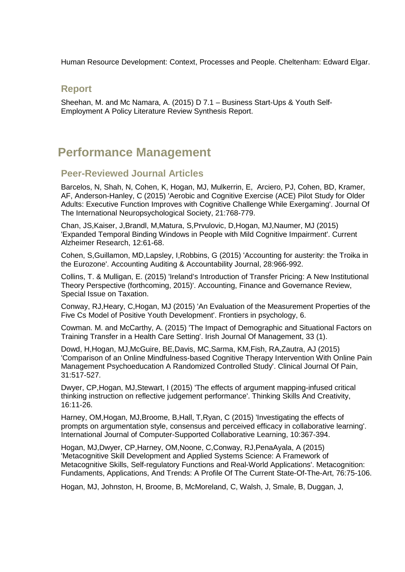Human Resource Development: Context, Processes and People. Cheltenham: Edward Elgar.

#### **Report**

Sheehan, M. and Mc Namara, A. (2015) D 7.1 – Business Start-Ups & Youth Self-Employment A Policy Literature Review Synthesis Report.

### **Performance Management**

#### **Peer-Reviewed Journal Articles**

Barcelos, N, Shah, N, Cohen, K, Hogan, MJ, Mulkerrin, E, Arciero, PJ, Cohen, BD, Kramer, AF, Anderson-Hanley, C (2015) 'Aerobic and Cognitive Exercise (ACE) Pilot Study for Older Adults: Executive Function Improves with Cognitive Challenge While Exergaming'. Journal Of The International Neuropsychological Society, 21:768-779.

Chan, JS,Kaiser, J,Brandl, M,Matura, S,Prvulovic, D,Hogan, MJ,Naumer, MJ (2015) 'Expanded Temporal Binding Windows in People with Mild Cognitive Impairment'. Current Alzheimer Research, 12:61-68.

Cohen, S,Guillamon, MD,Lapsley, I,Robbins, G (2015) 'Accounting for austerity: the Troika in the Eurozone'. Accounting Auditing & Accountability Journal, 28:966-992.

Collins, T. & Mulligan, E. (2015) 'Ireland's Introduction of Transfer Pricing: A New Institutional Theory Perspective (forthcoming, 2015)'. Accounting, Finance and Governance Review, Special Issue on Taxation.

Conway, RJ,Heary, C,Hogan, MJ (2015) 'An Evaluation of the Measurement Properties of the Five Cs Model of Positive Youth Development'. Frontiers in psychology, 6.

Cowman. M. and McCarthy, A. (2015) 'The Impact of Demographic and Situational Factors on Training Transfer in a Health Care Setting'. Irish Journal Of Management, 33 (1).

Dowd, H,Hogan, MJ,McGuire, BE,Davis, MC,Sarma, KM,Fish, RA,Zautra, AJ (2015) 'Comparison of an Online Mindfulness-based Cognitive Therapy Intervention With Online Pain Management Psychoeducation A Randomized Controlled Study'. Clinical Journal Of Pain, 31:517-527.

Dwyer, CP,Hogan, MJ,Stewart, I (2015) 'The effects of argument mapping-infused critical thinking instruction on reflective judgement performance'. Thinking Skills And Creativity, 16:11-26.

Harney, OM,Hogan, MJ,Broome, B,Hall, T,Ryan, C (2015) 'Investigating the effects of prompts on argumentation style, consensus and perceived efficacy in collaborative learning'. International Journal of Computer-Supported Collaborative Learning, 10:367-394.

Hogan, MJ,Dwyer, CP,Harney, OM,Noone, C,Conway, RJ,PenaAyala, A (2015) 'Metacognitive Skill Development and Applied Systems Science: A Framework of Metacognitive Skills, Self-regulatory Functions and Real-World Applications'. Metacognition: Fundaments, Applications, And Trends: A Profile Of The Current State-Of-The-Art, 76:75-106.

Hogan, MJ, Johnston, H, Broome, B, McMoreland, C, Walsh, J, Smale, B, Duggan, J,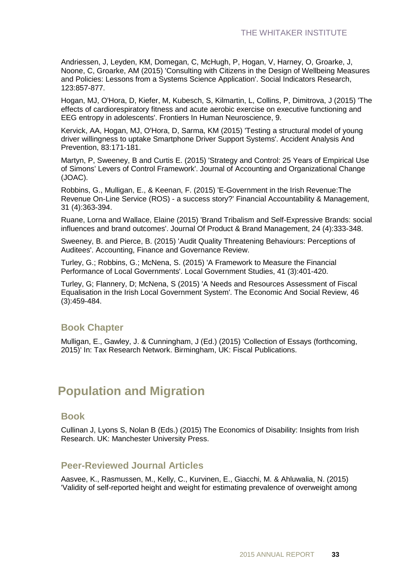Andriessen, J, Leyden, KM, Domegan, C, McHugh, P, Hogan, V, Harney, O, Groarke, J, Noone, C, Groarke, AM (2015) 'Consulting with Citizens in the Design of Wellbeing Measures and Policies: Lessons from a Systems Science Application'. Social Indicators Research, 123:857-877.

Hogan, MJ, O'Hora, D, Kiefer, M, Kubesch, S, Kilmartin, L, Collins, P, Dimitrova, J (2015) 'The effects of cardiorespiratory fitness and acute aerobic exercise on executive functioning and EEG entropy in adolescents'. Frontiers In Human Neuroscience, 9.

Kervick, AA, Hogan, MJ, O'Hora, D, Sarma, KM (2015) 'Testing a structural model of young driver willingness to uptake Smartphone Driver Support Systems'. Accident Analysis And Prevention, 83:171-181.

Martyn, P, Sweeney, B and Curtis E. (2015) 'Strategy and Control: 25 Years of Empirical Use of Simons' Levers of Control Framework'. Journal of Accounting and Organizational Change (JOAC).

Robbins, G., Mulligan, E., & Keenan, F. (2015) 'E-Government in the Irish Revenue:The Revenue On-Line Service (ROS) - a success story?' Financial Accountability & Management, 31 (4):363-394.

Ruane, Lorna and Wallace, Elaine (2015) 'Brand Tribalism and Self-Expressive Brands: social influences and brand outcomes'. Journal Of Product & Brand Management, 24 (4):333-348.

Sweeney, B. and Pierce, B. (2015) 'Audit Quality Threatening Behaviours: Perceptions of Auditees'. Accounting, Finance and Governance Review.

Turley, G.; Robbins, G.; McNena, S. (2015) 'A Framework to Measure the Financial Performance of Local Governments'. Local Government Studies, 41 (3):401-420.

Turley, G; Flannery, D; McNena, S (2015) 'A Needs and Resources Assessment of Fiscal Equalisation in the Irish Local Government System'. The Economic And Social Review, 46 (3):459-484.

### **Book Chapter**

Mulligan, E., Gawley, J. & Cunningham, J (Ed.) (2015) 'Collection of Essays (forthcoming, 2015)' In: Tax Research Network. Birmingham, UK: Fiscal Publications.

### **Population and Migration**

#### **Book**

Cullinan J, Lyons S, Nolan B (Eds.) (2015) The Economics of Disability: Insights from Irish Research. UK: Manchester University Press.

### **Peer-Reviewed Journal Articles**

Aasvee, K., Rasmussen, M., Kelly, C., Kurvinen, E., Giacchi, M. & Ahluwalia, N. (2015) 'Validity of self-reported height and weight for estimating prevalence of overweight among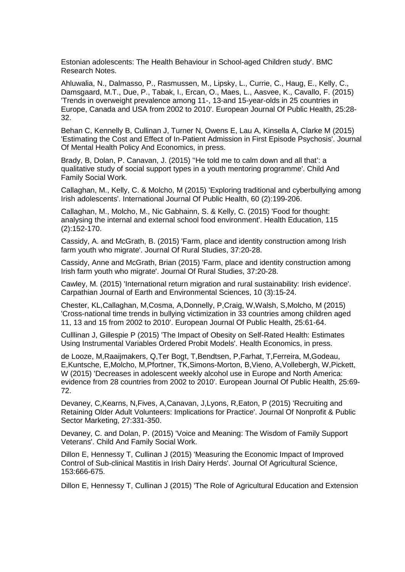Estonian adolescents: The Health Behaviour in School-aged Children study'. BMC Research Notes.

Ahluwalia, N., Dalmasso, P., Rasmussen, M., Lipsky, L., Currie, C., Haug, E., Kelly, C., Damsgaard, M.T., Due, P., Tabak, I., Ercan, O., Maes, L., Aasvee, K., Cavallo, F. (2015) 'Trends in overweight prevalence among 11-, 13-and 15-year-olds in 25 countries in Europe, Canada and USA from 2002 to 2010'. European Journal Of Public Health, 25:28- 32.

Behan C, Kennelly B, Cullinan J, Turner N, Owens E, Lau A, Kinsella A, Clarke M (2015) 'Estimating the Cost and Effect of In-Patient Admission in First Episode Psychosis'. Journal Of Mental Health Policy And Economics, in press.

Brady, B, Dolan, P. Canavan, J. (2015) ''He told me to calm down and all that': a qualitative study of social support types in a youth mentoring programme'. Child And Family Social Work.

Callaghan, M., Kelly, C. & Molcho, M (2015) 'Exploring traditional and cyberbullying among Irish adolescents'. International Journal Of Public Health, 60 (2):199-206.

Callaghan, M., Molcho, M., Nic Gabhainn, S. & Kelly, C. (2015) 'Food for thought: analysing the internal and external school food environment'. Health Education, 115 (2):152-170.

Cassidy, A. and McGrath, B. (2015) 'Farm, place and identity construction among Irish farm youth who migrate'. Journal Of Rural Studies, 37:20-28.

Cassidy, Anne and McGrath, Brian (2015) 'Farm, place and identity construction among Irish farm youth who migrate'. Journal Of Rural Studies, 37:20-28.

Cawley, M. (2015) 'International return migration and rural sustainability: Irish evidence'. Carpathian Journal of Earth and Environmental Sciences, 10 (3):15-24.

Chester, KL,Callaghan, M,Cosma, A,Donnelly, P,Craig, W,Walsh, S,Molcho, M (2015) 'Cross-national time trends in bullying victimization in 33 countries among children aged 11, 13 and 15 from 2002 to 2010'. European Journal Of Public Health, 25:61-64.

Culllinan J, Gillespie P (2015) 'The Impact of Obesity on Self-Rated Health: Estimates Using Instrumental Variables Ordered Probit Models'. Health Economics, in press.

de Looze, M,Raaijmakers, Q,Ter Bogt, T,Bendtsen, P,Farhat, T,Ferreira, M,Godeau, E,Kuntsche, E,Molcho, M,Pfortner, TK,Simons-Morton, B,Vieno, A,Vollebergh, W,Pickett, W (2015) 'Decreases in adolescent weekly alcohol use in Europe and North America: evidence from 28 countries from 2002 to 2010'. European Journal Of Public Health, 25:69- 72.

Devaney, C,Kearns, N,Fives, A,Canavan, J,Lyons, R,Eaton, P (2015) 'Recruiting and Retaining Older Adult Volunteers: Implications for Practice'. Journal Of Nonprofit & Public Sector Marketing, 27:331-350.

Devaney, C. and Dolan, P. (2015) 'Voice and Meaning: The Wisdom of Family Support Veterans'. Child And Family Social Work.

Dillon E, Hennessy T, Cullinan J (2015) 'Measuring the Economic Impact of Improved Control of Sub-clinical Mastitis in Irish Dairy Herds'. Journal Of Agricultural Science, 153:666-675.

Dillon E, Hennessy T, Cullinan J (2015) 'The Role of Agricultural Education and Extension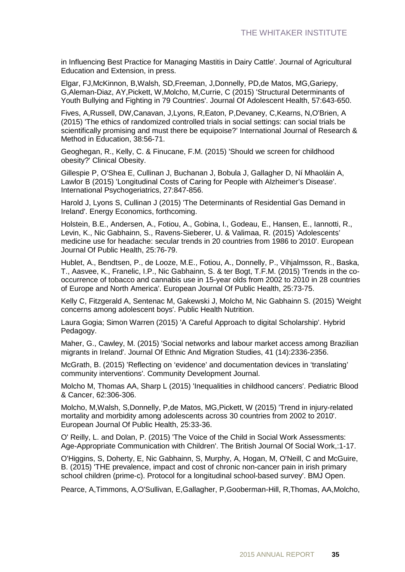in Influencing Best Practice for Managing Mastitis in Dairy Cattle'. Journal of Agricultural Education and Extension, in press.

Elgar, FJ,McKinnon, B,Walsh, SD,Freeman, J,Donnelly, PD,de Matos, MG,Gariepy, G,Aleman-Diaz, AY,Pickett, W,Molcho, M,Currie, C (2015) 'Structural Determinants of Youth Bullying and Fighting in 79 Countries'. Journal Of Adolescent Health, 57:643-650.

Fives, A,Russell, DW,Canavan, J,Lyons, R,Eaton, P,Devaney, C,Kearns, N,O'Brien, A (2015) 'The ethics of randomized controlled trials in social settings: can social trials be scientifically promising and must there be equipoise?' International Journal of Research & Method in Education, 38:56-71.

Geoghegan, R., Kelly, C. & Finucane, F.M. (2015) 'Should we screen for childhood obesity?' Clinical Obesity.

Gillespie P, O'Shea E, Cullinan J, Buchanan J, Bobula J, Gallagher D, Ní Mhaoláin A, Lawlor B (2015) 'Longitudinal Costs of Caring for People with Alzheimer's Disease'. International Psychogeriatrics, 27:847-856.

Harold J, Lyons S, Cullinan J (2015) 'The Determinants of Residential Gas Demand in Ireland'. Energy Economics, forthcoming.

Holstein, B.E., Andersen, A., Fotiou, A., Gobina, I., Godeau, E., Hansen, E., Iannotti, R., Levin, K., Nic Gabhainn, S., Ravens-Sieberer, U. & Valimaa, R. (2015) 'Adolescents' medicine use for headache: secular trends in 20 countries from 1986 to 2010'. European Journal Of Public Health, 25:76-79.

Hublet, A., Bendtsen, P., de Looze, M.E., Fotiou, A., Donnelly, P., Vihjalmsson, R., Baska, T., Aasvee, K., Franelic, I.P., Nic Gabhainn, S. & ter Bogt, T.F.M. (2015) 'Trends in the cooccurrence of tobacco and cannabis use in 15-year olds from 2002 to 2010 in 28 countries of Europe and North America'. European Journal Of Public Health, 25:73-75.

Kelly C, Fitzgerald A, Sentenac M, Gakewski J, Molcho M, Nic Gabhainn S. (2015) 'Weight concerns among adolescent boys'. Public Health Nutrition.

Laura Gogia; Simon Warren (2015) 'A Careful Approach to digital Scholarship'. Hybrid Pedagogy.

Maher, G., Cawley, M. (2015) 'Social networks and labour market access among Brazilian migrants in Ireland'. Journal Of Ethnic And Migration Studies, 41 (14):2336-2356.

McGrath, B. (2015) 'Reflecting on 'evidence' and documentation devices in 'translating' community interventions'. Community Development Journal.

Molcho M, Thomas AA, Sharp L (2015) 'Inequalities in childhood cancers'. Pediatric Blood & Cancer, 62:306-306.

Molcho, M,Walsh, S,Donnelly, P,de Matos, MG,Pickett, W (2015) 'Trend in injury-related mortality and morbidity among adolescents across 30 countries from 2002 to 2010'. European Journal Of Public Health, 25:33-36.

O' Reilly, L. and Dolan, P. (2015) 'The Voice of the Child in Social Work Assessments: Age-Appropriate Communication with Children'. The British Journal Of Social Work,:1-17.

O'Higgins, S, Doherty, E, Nic Gabhainn, S, Murphy, A, Hogan, M, O'Neill, C and McGuire, B. (2015) 'THE prevalence, impact and cost of chronic non-cancer pain in irish primary school children (prime-c). Protocol for a longitudinal school-based survey'. BMJ Open.

Pearce, A,Timmons, A,O'Sullivan, E,Gallagher, P,Gooberman-Hill, R,Thomas, AA,Molcho,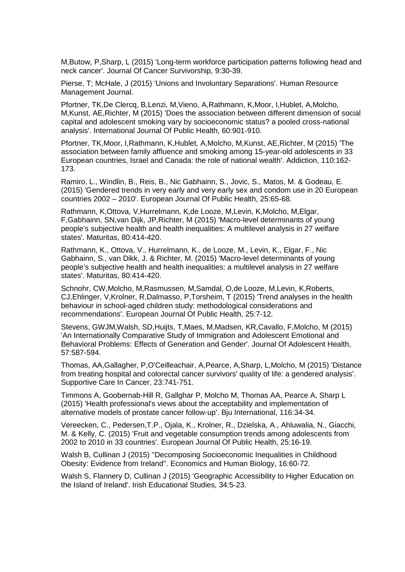M,Butow, P,Sharp, L (2015) 'Long-term workforce participation patterns following head and neck cancer'. Journal Of Cancer Survivorship, 9:30-39.

Pierse, T; McHale, J (2015) 'Unions and Involuntary Separations'. Human Resource Management Journal.

Pfortner, TK,De Clercq, B,Lenzi, M,Vieno, A,Rathmann, K,Moor, I,Hublet, A,Molcho, M,Kunst, AE,Richter, M (2015) 'Does the association between different dimension of social capital and adolescent smoking vary by socioeconomic status? a pooled cross-national analysis'. International Journal Of Public Health, 60:901-910.

Pfortner, TK,Moor, I,Rathmann, K,Hublet, A,Molcho, M,Kunst, AE,Richter, M (2015) 'The association between family affluence and smoking among 15-year-old adolescents in 33 European countries, Israel and Canada: the role of national wealth'. Addiction, 110:162- 173.

Ramiro, L., Windlin, B., Reis, B., Nic Gabhainn, S., Jovic, S., Matos, M. & Godeau, E. (2015) 'Gendered trends in very early and very early sex and condom use in 20 European countries 2002 – 2010'. European Journal Of Public Health, 25:65-68.

Rathmann, K,Ottova, V,Hurrelmann, K,de Looze, M,Levin, K,Molcho, M,Elgar, F,Gabhainn, SN,van Dijk, JP,Richter, M (2015) 'Macro-level determinants of young people's subjective health and health inequalities: A multilevel analysis in 27 welfare states'. Maturitas, 80:414-420.

Rathmann, K., Ottova, V., Hurrelmann, K., de Looze, M., Levin, K., Elgar, F., Nic Gabhainn, S., van Dikk, J. & Richter, M. (2015) 'Macro-level determinants of young people's subjective health and health inequalities: a multilevel analysis in 27 welfare states'. Maturitas, 80:414-420.

Schnohr, CW,Molcho, M,Rasmussen, M,Samdal, O,de Looze, M,Levin, K,Roberts, CJ,Ehlinger, V,Krolner, R,Dalmasso, P,Torsheim, T (2015) 'Trend analyses in the health behaviour in school-aged children study: methodological considerations and recommendations'. European Journal Of Public Health, 25:7-12.

Stevens, GWJM,Walsh, SD,Huijts, T,Maes, M,Madsen, KR,Cavallo, F,Molcho, M (2015) 'An Internationally Comparative Study of Immigration and Adolescent Emotional and Behavioral Problems: Effects of Generation and Gender'. Journal Of Adolescent Health, 57:587-594.

Thomas, AA,Gallagher, P,O'Ceilleachair, A,Pearce, A,Sharp, L,Molcho, M (2015) 'Distance from treating hospital and colorectal cancer survivors' quality of life: a gendered analysis'. Supportive Care In Cancer, 23:741-751.

Timmons A, Goobernab-Hill R, Gallghar P, Molcho M, Thomas AA, Pearce A, Sharp L (2015) 'Health professional's views about the acceptability and implementation of alternative models of prostate cancer follow-up'. Bju International, 116:34-34.

Vereecken, C., Pedersen,T.P., Ojala, K., Krolner, R., Dzielska, A., Ahluwalia, N., Giacchi, M. & Kelly, C. (2015) 'Fruit and vegetable consumption trends among adolescents from 2002 to 2010 in 33 countries'. European Journal Of Public Health, 25:16-19.

Walsh B, Cullinan J (2015) ''Decomposing Socioeconomic Inequalities in Childhood Obesity: Evidence from Ireland''. Economics and Human Biology, 16:60-72.

Walsh S, Flannery D, Cullinan J (2015) 'Geographic Accessibility to Higher Education on the Island of Ireland'. Irish Educational Studies, 34:5-23.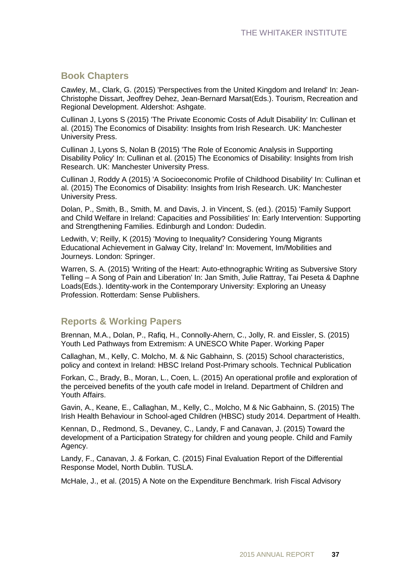### **Book Chapters**

Cawley, M., Clark, G. (2015) 'Perspectives from the United Kingdom and Ireland' In: Jean-Christophe Dissart, Jeoffrey Dehez, Jean-Bernard Marsat(Eds.). Tourism, Recreation and Regional Development. Aldershot: Ashgate.

Cullinan J, Lyons S (2015) 'The Private Economic Costs of Adult Disability' In: Cullinan et al. (2015) The Economics of Disability: Insights from Irish Research. UK: Manchester University Press.

Cullinan J, Lyons S, Nolan B (2015) 'The Role of Economic Analysis in Supporting Disability Policy' In: Cullinan et al. (2015) The Economics of Disability: Insights from Irish Research. UK: Manchester University Press.

Cullinan J, Roddy A (2015) 'A Socioeconomic Profile of Childhood Disability' In: Cullinan et al. (2015) The Economics of Disability: Insights from Irish Research. UK: Manchester University Press.

Dolan, P., Smith, B., Smith, M. and Davis, J. in Vincent, S. (ed.). (2015) 'Family Support and Child Welfare in Ireland: Capacities and Possibilities' In: Early Intervention: Supporting and Strengthening Families. Edinburgh and London: Dudedin.

Ledwith, V; Reilly, K (2015) 'Moving to Inequality? Considering Young Migrants Educational Achievement in Galway City, Ireland' In: Movement, Im/Mobilities and Journeys. London: Springer.

Warren, S. A. (2015) 'Writing of the Heart: Auto-ethnographic Writing as Subversive Story Telling – A Song of Pain and Liberation' In: Jan Smith, Julie Rattray, Tai Peseta & Daphne Loads(Eds.). Identity-work in the Contemporary University: Exploring an Uneasy Profession. Rotterdam: Sense Publishers.

### **Reports & Working Papers**

Brennan, M.A., Dolan, P., Rafiq, H., Connolly-Ahern, C., Jolly, R. and Eissler, S. (2015) Youth Led Pathways from Extremism: A UNESCO White Paper. Working Paper

Callaghan, M., Kelly, C. Molcho, M. & Nic Gabhainn, S. (2015) School characteristics, policy and context in Ireland: HBSC Ireland Post-Primary schools. Technical Publication

Forkan, C., Brady, B., Moran, L., Coen, L. (2015) An operational profile and exploration of the perceived benefits of the youth cafe model in Ireland. Department of Children and Youth Affairs.

Gavin, A., Keane, E., Callaghan, M., Kelly, C., Molcho, M & Nic Gabhainn, S. (2015) The Irish Health Behaviour in School-aged Children (HBSC) study 2014. Department of Health.

Kennan, D., Redmond, S., Devaney, C., Landy, F and Canavan, J. (2015) Toward the development of a Participation Strategy for children and young people. Child and Family Agency.

Landy, F., Canavan, J. & Forkan, C. (2015) Final Evaluation Report of the Differential Response Model, North Dublin. TUSLA.

McHale, J., et al. (2015) A Note on the Expenditure Benchmark. Irish Fiscal Advisory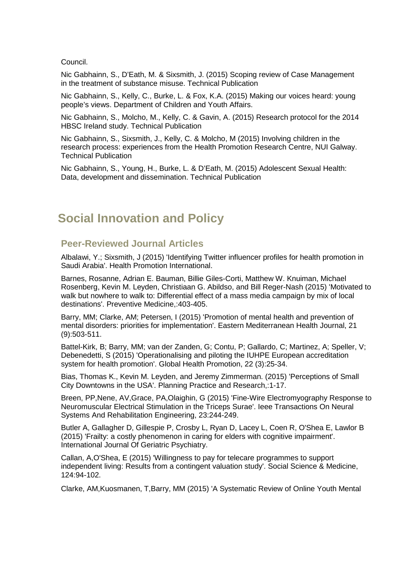Council.

Nic Gabhainn, S., D'Eath, M. & Sixsmith, J. (2015) Scoping review of Case Management in the treatment of substance misuse. Technical Publication

Nic Gabhainn, S., Kelly, C., Burke, L. & Fox, K.A. (2015) Making our voices heard: young people's views. Department of Children and Youth Affairs.

Nic Gabhainn, S., Molcho, M., Kelly, C. & Gavin, A. (2015) Research protocol for the 2014 HBSC Ireland study. Technical Publication

Nic Gabhainn, S., Sixsmith, J., Kelly, C. & Molcho, M (2015) Involving children in the research process: experiences from the Health Promotion Research Centre, NUI Galway. Technical Publication

Nic Gabhainn, S., Young, H., Burke, L. & D'Eath, M. (2015) Adolescent Sexual Health: Data, development and dissemination. Technical Publication

### **Social Innovation and Policy**

### **Peer-Reviewed Journal Articles**

Albalawi, Y.; Sixsmith, J (2015) 'Identifying Twitter influencer profiles for health promotion in Saudi Arabia'. Health Promotion International.

Barnes, Rosanne, Adrian E. Bauman, Billie Giles-Corti, Matthew W. Knuiman, Michael Rosenberg, Kevin M. Leyden, Christiaan G. Abildso, and Bill Reger-Nash (2015) 'Motivated to walk but nowhere to walk to: Differential effect of a mass media campaign by mix of local destinations'. Preventive Medicine,:403-405.

Barry, MM; Clarke, AM; Petersen, I (2015) 'Promotion of mental health and prevention of mental disorders: priorities for implementation'. Eastern Mediterranean Health Journal, 21 (9):503-511.

Battel-Kirk, B; Barry, MM; van der Zanden, G; Contu, P; Gallardo, C; Martinez, A; Speller, V; Debenedetti, S (2015) 'Operationalising and piloting the IUHPE European accreditation system for health promotion'. Global Health Promotion, 22 (3):25-34.

Bias, Thomas K., Kevin M. Leyden, and Jeremy Zimmerman. (2015) 'Perceptions of Small City Downtowns in the USA'. Planning Practice and Research,:1-17.

Breen, PP,Nene, AV,Grace, PA,Olaighin, G (2015) 'Fine-Wire Electromyography Response to Neuromuscular Electrical Stimulation in the Triceps Surae'. Ieee Transactions On Neural Systems And Rehabilitation Engineering, 23:244-249.

Butler A, Gallagher D, Gillespie P, Crosby L, Ryan D, Lacey L, Coen R, O'Shea E, Lawlor B (2015) 'Frailty: a costly phenomenon in caring for elders with cognitive impairment'. International Journal Of Geriatric Psychiatry.

Callan, A,O'Shea, E (2015) 'Willingness to pay for telecare programmes to support independent living: Results from a contingent valuation study'. Social Science & Medicine, 124:94-102.

Clarke, AM,Kuosmanen, T,Barry, MM (2015) 'A Systematic Review of Online Youth Mental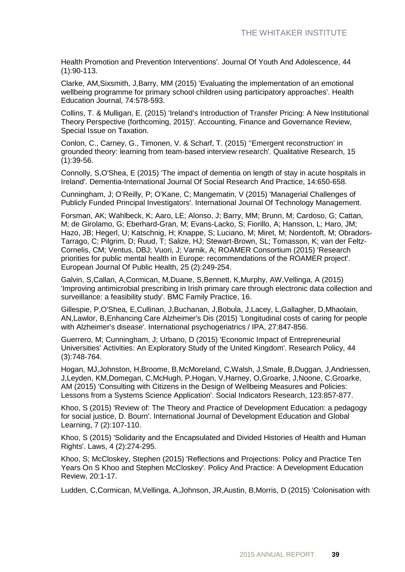Health Promotion and Prevention Interventions'. Journal Of Youth And Adolescence, 44 (1):90-113.

Clarke, AM,Sixsmith, J,Barry, MM (2015) 'Evaluating the implementation of an emotional wellbeing programme for primary school children using participatory approaches'. Health Education Journal, 74:578-593.

Collins, T. & Mulligan, E. (2015) 'Ireland's Introduction of Transfer Pricing: A New Institutional Theory Perspective (forthcoming, 2015)'. Accounting, Finance and Governance Review, Special Issue on Taxation.

Conlon, C., Carney, G., Timonen, V. & Scharf, T. (2015) ''Emergent reconstruction' in grounded theory: learning from team-based interview research'. Qualitative Research, 15 (1):39-56.

Connolly, S,O'Shea, E (2015) 'The impact of dementia on length of stay in acute hospitals in Ireland'. Dementia-International Journal Of Social Research And Practice, 14:650-658.

Cunningham, J; O'Reilly, P; O'Kane, C; Mangematin, V (2015) 'Managerial Challenges of Publicly Funded Principal Investigators'. International Journal Of Technology Management.

Forsman, AK; Wahlbeck, K; Aaro, LE; Alonso, J; Barry, MM; Brunn, M; Cardoso, G; Cattan, M; de Girolamo, G; Eberhard-Gran, M; Evans-Lacko, S; Fiorillo, A; Hansson, L; Haro, JM; Hazo, JB; Hegerl, U; Katschnig, H; Knappe, S; Luciano, M; Miret, M; Nordentoft, M; Obradors-Tarrago, C; Pilgrim, D; Ruud, T; Salize, HJ; Stewart-Brown, SL; Tomasson, K; van der Feltz-Cornelis, CM; Ventus, DBJ; Vuori, J; Varnik, A; ROAMER Consortium (2015) 'Research priorities for public mental health in Europe: recommendations of the ROAMER project'. European Journal Of Public Health, 25 (2):249-254.

Galvin, S,Callan, A,Cormican, M,Duane, S,Bennett, K,Murphy, AW,Vellinga, A (2015) 'Improving antimicrobial prescribing in Irish primary care through electronic data collection and surveillance: a feasibility study'. BMC Family Practice, 16.

Gillespie, P,O'Shea, E,Cullinan, J,Buchanan, J,Bobula, J,Lacey, L,Gallagher, D,Mhaolain, AN,Lawlor, B,Enhancing Care Alzheimer's Dis (2015) 'Longitudinal costs of caring for people with Alzheimer's disease'. International psychogeriatrics / IPA, 27:847-856.

Guerrero, M; Cunningham, J; Urbano, D (2015) 'Economic Impact of Entrepreneurial Universities' Activities: An Exploratory Study of the United Kingdom'. Research Policy, 44 (3):748-764.

Hogan, MJ,Johnston, H,Broome, B,McMoreland, C,Walsh, J,Smale, B,Duggan, J,Andriessen, J,Leyden, KM,Domegan, C,McHugh, P,Hogan, V,Harney, O,Groarke, J,Noone, C,Groarke, AM (2015) 'Consulting with Citizens in the Design of Wellbeing Measures and Policies: Lessons from a Systems Science Application'. Social Indicators Research, 123:857-877.

Khoo, S (2015) 'Review of: The Theory and Practice of Development Education: a pedagogy for social justice, D. Bourn'. International Journal of Development Education and Global Learning, 7 (2):107-110.

Khoo, S (2015) 'Solidarity and the Encapsulated and Divided Histories of Health and Human Rights'. Laws, 4 (2):274-295.

Khoo, S; McCloskey, Stephen (2015) 'Reflections and Projections: Policy and Practice Ten Years On S Khoo and Stephen McCloskey'. Policy And Practice: A Development Education Review, 20:1-17.

Ludden, C,Cormican, M,Vellinga, A,Johnson, JR,Austin, B,Morris, D (2015) 'Colonisation with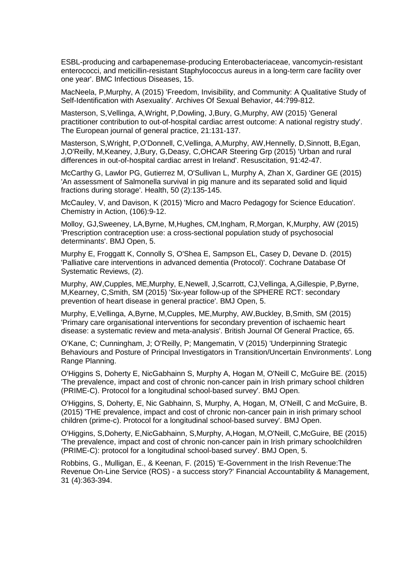ESBL-producing and carbapenemase-producing Enterobacteriaceae, vancomycin-resistant enterococci, and meticillin-resistant Staphylococcus aureus in a long-term care facility over one year'. BMC Infectious Diseases, 15.

MacNeela, P,Murphy, A (2015) 'Freedom, Invisibility, and Community: A Qualitative Study of Self-Identification with Asexuality'. Archives Of Sexual Behavior, 44:799-812.

Masterson, S,Vellinga, A,Wright, P,Dowling, J,Bury, G,Murphy, AW (2015) 'General practitioner contribution to out-of-hospital cardiac arrest outcome: A national registry study'. The European journal of general practice, 21:131-137.

Masterson, S,Wright, P,O'Donnell, C,Vellinga, A,Murphy, AW,Hennelly, D,Sinnott, B,Egan, J,O'Reilly, M,Keaney, J,Bury, G,Deasy, C,OHCAR Steering Grp (2015) 'Urban and rural differences in out-of-hospital cardiac arrest in Ireland'. Resuscitation, 91:42-47.

McCarthy G, Lawlor PG, Gutierrez M, O'Sullivan L, Murphy A, Zhan X, Gardiner GE (2015) 'An assessment of Salmonella survival in pig manure and its separated solid and liquid fractions during storage'. Health, 50 (2):135-145.

McCauley, V, and Davison, K (2015) 'Micro and Macro Pedagogy for Science Education'. Chemistry in Action, (106):9-12.

Molloy, GJ,Sweeney, LA,Byrne, M,Hughes, CM,Ingham, R,Morgan, K,Murphy, AW (2015) 'Prescription contraception use: a cross-sectional population study of psychosocial determinants'. BMJ Open, 5.

Murphy E, Froggatt K, Connolly S, O'Shea E, Sampson EL, Casey D, Devane D. (2015) 'Palliative care interventions in advanced dementia (Protocol)'. Cochrane Database Of Systematic Reviews, (2).

Murphy, AW,Cupples, ME,Murphy, E,Newell, J,Scarrott, CJ,Vellinga, A,Gillespie, P,Byrne, M,Kearney, C,Smith, SM (2015) 'Six-year follow-up of the SPHERE RCT: secondary prevention of heart disease in general practice'. BMJ Open, 5.

Murphy, E,Vellinga, A,Byrne, M,Cupples, ME,Murphy, AW,Buckley, B,Smith, SM (2015) 'Primary care organisational interventions for secondary prevention of ischaemic heart disease: a systematic review and meta-analysis'. British Journal Of General Practice, 65.

O'Kane, C; Cunningham, J; O'Reilly, P; Mangematin, V (2015) 'Underpinning Strategic Behaviours and Posture of Principal Investigators in Transition/Uncertain Environments'. Long Range Planning.

O'Higgins S, Doherty E, NicGabhainn S, Murphy A, Hogan M, O'Neill C, McGuire BE. (2015) 'The prevalence, impact and cost of chronic non-cancer pain in Irish primary school children (PRIME-C). Protocol for a longitudinal school-based survey'. BMJ Open.

O'Higgins, S, Doherty, E, Nic Gabhainn, S, Murphy, A, Hogan, M, O'Neill, C and McGuire, B. (2015) 'THE prevalence, impact and cost of chronic non-cancer pain in irish primary school children (prime-c). Protocol for a longitudinal school-based survey'. BMJ Open.

O'Higgins, S,Doherty, E,NicGabhainn, S,Murphy, A,Hogan, M,O'Neill, C,McGuire, BE (2015) 'The prevalence, impact and cost of chronic non-cancer pain in Irish primary schoolchildren (PRIME-C): protocol for a longitudinal school-based survey'. BMJ Open, 5.

Robbins, G., Mulligan, E., & Keenan, F. (2015) 'E-Government in the Irish Revenue:The Revenue On-Line Service (ROS) - a success story?' Financial Accountability & Management, 31 (4):363-394.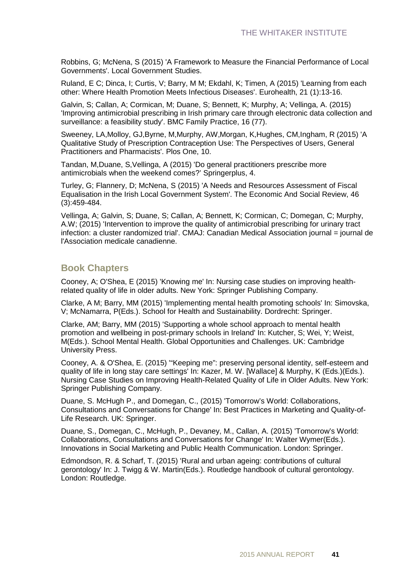Robbins, G; McNena, S (2015) 'A Framework to Measure the Financial Performance of Local Governments'. Local Government Studies.

Ruland, E C; Dinca, I; Curtis, V; Barry, M M; Ekdahl, K; Timen, A (2015) 'Learning from each other: Where Health Promotion Meets Infectious Diseases'. Eurohealth, 21 (1):13-16.

Galvin, S; Callan, A; Cormican, M; Duane, S; Bennett, K; Murphy, A; Vellinga, A. (2015) 'Improving antimicrobial prescribing in Irish primary care through electronic data collection and surveillance: a feasibility study'. BMC Family Practice, 16 (77).

Sweeney, LA,Molloy, GJ,Byrne, M,Murphy, AW,Morgan, K,Hughes, CM,Ingham, R (2015) 'A Qualitative Study of Prescription Contraception Use: The Perspectives of Users, General Practitioners and Pharmacists'. Plos One, 10.

Tandan, M,Duane, S,Vellinga, A (2015) 'Do general practitioners prescribe more antimicrobials when the weekend comes?' Springerplus, 4.

Turley, G; Flannery, D; McNena, S (2015) 'A Needs and Resources Assessment of Fiscal Equalisation in the Irish Local Government System'. The Economic And Social Review, 46 (3):459-484.

Vellinga, A; Galvin, S; Duane, S; Callan, A; Bennett, K; Cormican, C; Domegan, C; Murphy, A.W; (2015) 'Intervention to improve the quality of antimicrobial prescribing for urinary tract infection: a cluster randomized trial'. CMAJ: Canadian Medical Association journal = journal de l'Association medicale canadienne.

### **Book Chapters**

Cooney, A; O'Shea, E (2015) 'Knowing me' In: Nursing case studies on improving healthrelated quality of life in older adults. New York: Springer Publishing Company.

Clarke, A M; Barry, MM (2015) 'Implementing mental health promoting schools' In: Simovska, V; McNamarra, P(Eds.). School for Health and Sustainability. Dordrecht: Springer.

Clarke, AM; Barry, MM (2015) 'Supporting a whole school approach to mental health promotion and wellbeing in post-primary schools in Ireland' In: Kutcher, S; Wei, Y; Weist, M(Eds.). School Mental Health. Global Opportunities and Challenges. UK: Cambridge University Press.

Cooney, A. & O'Shea, E. (2015) '"Keeping me": preserving personal identity, self-esteem and quality of life in long stay care settings' In: Kazer, M. W. [Wallace] & Murphy, K (Eds.)(Eds.). Nursing Case Studies on Improving Health-Related Quality of Life in Older Adults. New York: Springer Publishing Company.

Duane, S. McHugh P., and Domegan, C., (2015) 'Tomorrow's World: Collaborations, Consultations and Conversations for Change' In: Best Practices in Marketing and Quality-of-Life Research. UK: Springer.

Duane, S., Domegan, C., McHugh, P., Devaney, M., Callan, A. (2015) 'Tomorrow's World: Collaborations, Consultations and Conversations for Change' In: Walter Wymer(Eds.). Innovations in Social Marketing and Public Health Communication. London: Springer.

Edmondson, R. & Scharf, T. (2015) 'Rural and urban ageing: contributions of cultural gerontology' In: J. Twigg & W. Martin(Eds.). Routledge handbook of cultural gerontology. London: Routledge.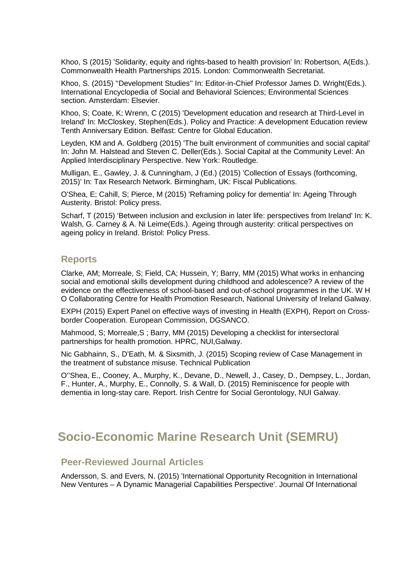Khoo, S (2015) 'Solidarity, equity and rights-based to health provision' In: Robertson, A(Eds.). Commonwealth Health Partnerships 2015. London: Commonwealth Secretariat.

Khoo, S. (2015) ''Development Studies'' In: Editor-in-Chief Professor James D. Wright(Eds.). International Encyclopedia of Social and Behavioral Sciences; Environmental Sciences section. Amsterdam: Elsevier.

Khoo, S; Coate, K; Wrenn, C (2015) 'Development education and research at Third-Level in Ireland' In: McCloskey, Stephen(Eds.). Policy and Practice: A development Education review Tenth Anniversary Edition. Belfast: Centre for Global Education.

Leyden, KM and A. Goldberg (2015) 'The built environment of communities and social capital' In: John M. Halstead and Steven C. Deller(Eds.). Social Capital at the Community Level: An Applied Interdisciplinary Perspective. New York: Routledge.

Mulligan, E., Gawley, J. & Cunningham, J (Ed.) (2015) 'Collection of Essays (forthcoming, 2015)' In: Tax Research Network. Birmingham, UK: Fiscal Publications.

O'Shea, E; Cahill, S; Pierce, M (2015) 'Reframing policy for dementia' In: Ageing Through Austerity. Bristol: Policy press.

Scharf, T (2015) 'Between inclusion and exclusion in later life: perspectives from Ireland' In: K. Walsh, G. Carney & A. Ni Leime(Eds.). Ageing through austerity: critical perspectives on ageing policy in Ireland. Bristol: Policy Press.

#### **Reports**

Clarke, AM; Morreale, S; Field, CA; Hussein, Y; Barry, MM (2015) What works in enhancing social and emotional skills development during childhood and adolescence? A review of the evidence on the effectiveness of school-based and out-of-school programmes in the UK. W H O Collaborating Centre for Health Promotion Research, National University of Ireland Galway.

EXPH (2015) Expert Panel on effective ways of investing in Health (EXPH), Report on Crossborder Cooperation. European Commission, DGSANCO.

Mahmood, S; Morreale,S ; Barry, MM (2015) Developing a checklist for intersectoral partnerships for health promotion. HPRC, NUI,Galway.

Nic Gabhainn, S., D'Eath, M. & Sixsmith, J. (2015) Scoping review of Case Management in the treatment of substance misuse. Technical Publication

O''Shea, E., Cooney, A., Murphy, K., Devane, D., Newell, J., Casey, D., Dempsey, L., Jordan, F., Hunter, A., Murphy, E., Connolly, S. & Wall, D. (2015) Reminiscence for people with dementia in long-stay care. Report. Irish Centre for Social Gerontology, NUI Galway.

### **Socio-Economic Marine Research Unit (SEMRU)**

### **Peer-Reviewed Journal Articles**

Andersson, S. and Evers, N. (2015) 'International Opportunity Recognition in International New Ventures – A Dynamic Managerial Capabilities Perspective'. Journal Of International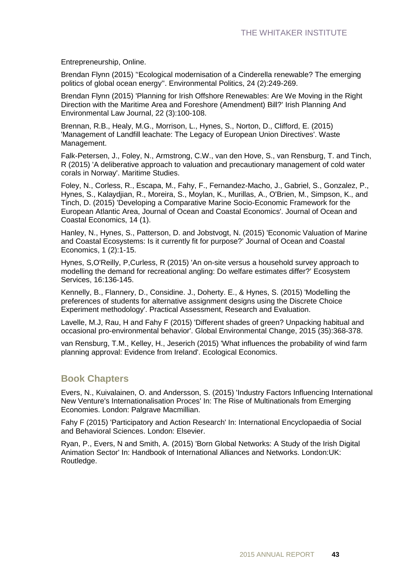Entrepreneurship, Online.

Brendan Flynn (2015) ''Ecological modernisation of a Cinderella renewable? The emerging politics of global ocean energy''. Environmental Politics, 24 (2):249-269.

Brendan Flynn (2015) 'Planning for Irish Offshore Renewables: Are We Moving in the Right Direction with the Maritime Area and Foreshore (Amendment) Bill?' Irish Planning And Environmental Law Journal, 22 (3):100-108.

Brennan, R.B., Healy, M.G., Morrison, L., Hynes, S., Norton, D., Clifford, E. (2015) 'Management of Landfill leachate: The Legacy of European Union Directives'. Waste Management.

Falk-Petersen, J., Foley, N., Armstrong, C.W., van den Hove, S., van Rensburg, T. and Tinch, R (2015) 'A deliberative approach to valuation and precautionary management of cold water corals in Norway'. Maritime Studies.

Foley, N., Corless, R., Escapa, M., Fahy, F., Fernandez-Macho, J., Gabriel, S., Gonzalez, P., Hynes, S., Kalaydjian, R., Moreira, S., Moylan, K., Murillas, A., O'Brien, M., Simpson, K., and Tinch, D. (2015) 'Developing a Comparative Marine Socio-Economic Framework for the European Atlantic Area, Journal of Ocean and Coastal Economics'. Journal of Ocean and Coastal Economics, 14 (1).

Hanley, N., Hynes, S., Patterson, D. and Jobstvogt, N. (2015) 'Economic Valuation of Marine and Coastal Ecosystems: Is it currently fit for purpose?' Journal of Ocean and Coastal Economics, 1 (2):1-15.

Hynes, S,O'Reilly, P,Curless, R (2015) 'An on-site versus a household survey approach to modelling the demand for recreational angling: Do welfare estimates differ?' Ecosystem Services, 16:136-145.

Kennelly, B., Flannery, D., Considine. J., Doherty. E., & Hynes, S. (2015) 'Modelling the preferences of students for alternative assignment designs using the Discrete Choice Experiment methodology'. Practical Assessment, Research and Evaluation.

Lavelle, M.J, Rau, H and Fahy F (2015) 'Different shades of green? Unpacking habitual and occasional pro-environmental behavior'. Global Environmental Change, 2015 (35):368-378.

van Rensburg, T.M., Kelley, H., Jeserich (2015) 'What influences the probability of wind farm planning approval: Evidence from Ireland'. Ecological Economics.

### **Book Chapters**

Evers, N., Kuivalainen, O. and Andersson, S. (2015) 'Industry Factors Influencing International New Venture's Internationalisation Proces' In: The Rise of Multinationals from Emerging Economies. London: Palgrave Macmillian.

Fahy F (2015) 'Participatory and Action Research' In: International Encyclopaedia of Social and Behavioral Sciences. London: Elsevier.

Ryan, P., Evers, N and Smith, A. (2015) 'Born Global Networks: A Study of the Irish Digital Animation Sector' In: Handbook of International Alliances and Networks. London:UK: Routledge.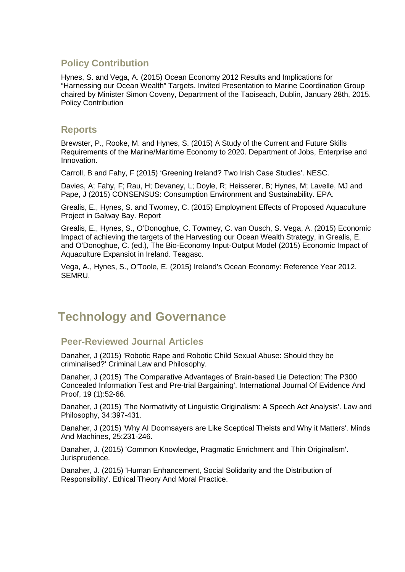### **Policy Contribution**

Hynes, S. and Vega, A. (2015) Ocean Economy 2012 Results and Implications for "Harnessing our Ocean Wealth" Targets. Invited Presentation to Marine Coordination Group chaired by Minister Simon Coveny, Department of the Taoiseach, Dublin, January 28th, 2015. Policy Contribution

### **Reports**

Brewster, P., Rooke, M. and Hynes, S. (2015) A Study of the Current and Future Skills Requirements of the Marine/Maritime Economy to 2020. Department of Jobs, Enterprise and Innovation.

Carroll, B and Fahy, F (2015) 'Greening Ireland? Two Irish Case Studies'. NESC.

Davies, A; Fahy, F; Rau, H; Devaney, L; Doyle, R; Heisserer, B; Hynes, M; Lavelle, MJ and Pape, J (2015) CONSENSUS: Consumption Environment and Sustainability. EPA.

Grealis, E., Hynes, S. and Twomey, C. (2015) Employment Effects of Proposed Aquaculture Project in Galway Bay. Report

Grealis, E., Hynes, S., O'Donoghue, C. Towmey, C. van Ousch, S. Vega, A. (2015) Economic Impact of achieving the targets of the Harvesting our Ocean Wealth Strategy, in Grealis, E. and O'Donoghue, C. (ed.), The Bio-Economy Input-Output Model (2015) Economic Impact of Aquaculture Expansiot in Ireland. Teagasc.

Vega, A., Hynes, S., O'Toole, E. (2015) Ireland's Ocean Economy: Reference Year 2012. SEMRU.

### **Technology and Governance**

### **Peer-Reviewed Journal Articles**

Danaher, J (2015) 'Robotic Rape and Robotic Child Sexual Abuse: Should they be criminalised?' Criminal Law and Philosophy.

Danaher, J (2015) 'The Comparative Advantages of Brain-based Lie Detection: The P300 Concealed Information Test and Pre-trial Bargaining'. International Journal Of Evidence And Proof, 19 (1):52-66.

Danaher, J (2015) 'The Normativity of Linguistic Originalism: A Speech Act Analysis'. Law and Philosophy, 34:397-431.

Danaher, J (2015) 'Why AI Doomsayers are Like Sceptical Theists and Why it Matters'. Minds And Machines, 25:231-246.

Danaher, J. (2015) 'Common Knowledge, Pragmatic Enrichment and Thin Originalism'. Jurisprudence.

Danaher, J. (2015) 'Human Enhancement, Social Solidarity and the Distribution of Responsibility'. Ethical Theory And Moral Practice.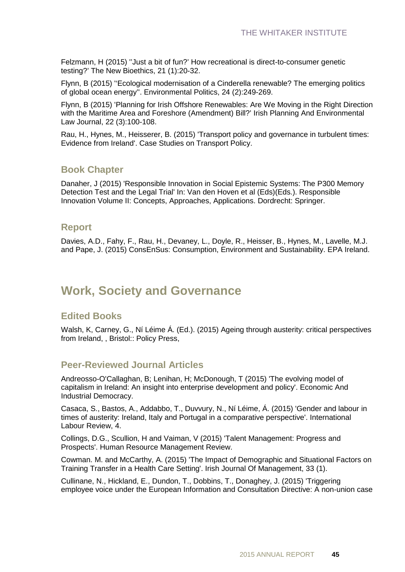Felzmann, H (2015) ''Just a bit of fun?' How recreational is direct-to-consumer genetic testing?' The New Bioethics, 21 (1):20-32.

Flynn, B (2015) ''Ecological modernisation of a Cinderella renewable? The emerging politics of global ocean energy''. Environmental Politics, 24 (2):249-269.

Flynn, B (2015) 'Planning for Irish Offshore Renewables: Are We Moving in the Right Direction with the Maritime Area and Foreshore (Amendment) Bill?' Irish Planning And Environmental Law Journal, 22 (3):100-108.

Rau, H., Hynes, M., Heisserer, B. (2015) 'Transport policy and governance in turbulent times: Evidence from Ireland'. Case Studies on Transport Policy.

### **Book Chapter**

Danaher, J (2015) 'Responsible Innovation in Social Epistemic Systems: The P300 Memory Detection Test and the Legal Trial' In: Van den Hoven et al (Eds)(Eds.). Responsible Innovation Volume II: Concepts, Approaches, Applications. Dordrecht: Springer.

#### **Report**

Davies, A.D., Fahy, F., Rau, H., Devaney, L., Doyle, R., Heisser, B., Hynes, M., Lavelle, M.J. and Pape, J. (2015) ConsEnSus: Consumption, Environment and Sustainability. EPA Ireland.

### **Work, Society and Governance**

### **Edited Books**

Walsh, K, Carney, G., Ní Léime Á. (Ed.). (2015) Ageing through austerity: critical perspectives from Ireland, , Bristol:: Policy Press,

### **Peer-Reviewed Journal Articles**

Andreosso-O'Callaghan, B; Lenihan, H; McDonough, T (2015) 'The evolving model of capitalism in Ireland: An insight into enterprise development and policy'. Economic And Industrial Democracy.

Casaca, S., Bastos, A., Addabbo, T., Duvvury, N., Ní Léime, Á. (2015) 'Gender and labour in times of austerity: Ireland, Italy and Portugal in a comparative perspective'. International Labour Review, 4.

Collings, D.G., Scullion, H and Vaiman, V (2015) 'Talent Management: Progress and Prospects'. Human Resource Management Review.

Cowman. M. and McCarthy, A. (2015) 'The Impact of Demographic and Situational Factors on Training Transfer in a Health Care Setting'. Irish Journal Of Management, 33 (1).

Cullinane, N., Hickland, E., Dundon, T., Dobbins, T., Donaghey, J. (2015) 'Triggering employee voice under the European Information and Consultation Directive: A non-union case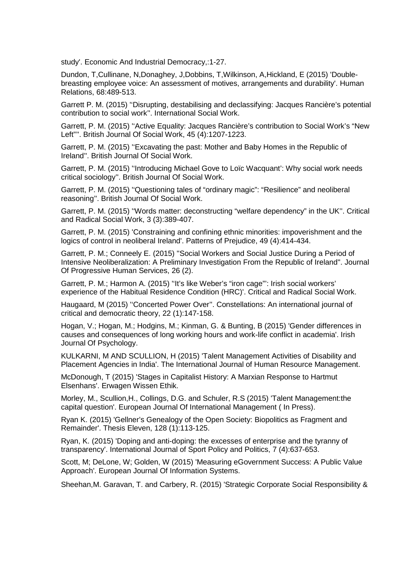study'. Economic And Industrial Democracy,:1-27.

Dundon, T,Cullinane, N,Donaghey, J,Dobbins, T,Wilkinson, A,Hickland, E (2015) 'Doublebreasting employee voice: An assessment of motives, arrangements and durability'. Human Relations, 68:489-513.

Garrett P. M. (2015) ''Disrupting, destabilising and declassifying: Jacques Rancière's potential contribution to social work''. International Social Work.

Garrett, P. M. (2015) ''Active Equality: Jacques Rancière's contribution to Social Work's "New Left"''. British Journal Of Social Work, 45 (4):1207-1223.

Garrett, P. M. (2015) ''Excavating the past: Mother and Baby Homes in the Republic of Ireland''. British Journal Of Social Work.

Garrett, P. M. (2015) ''Introducing Michael Gove to Loïc Wacquant': Why social work needs critical sociology''. British Journal Of Social Work.

Garrett, P. M. (2015) ''Questioning tales of "ordinary magic": "Resilience" and neoliberal reasoning''. British Journal Of Social Work.

Garrett, P. M. (2015) ''Words matter: deconstructing "welfare dependency" in the UK''. Critical and Radical Social Work, 3 (3):389-407.

Garrett, P. M. (2015) 'Constraining and confining ethnic minorities: impoverishment and the logics of control in neoliberal Ireland'. Patterns of Prejudice, 49 (4):414-434.

Garrett, P. M.; Conneely E. (2015) ''Social Workers and Social Justice During a Period of Intensive Neoliberalization: A Preliminary Investigation From the Republic of Ireland''. Journal Of Progressive Human Services, 26 (2).

Garrett, P. M.; Harmon A. (2015) ''It's like Weber's "iron cage"': Irish social workers' experience of the Habitual Residence Condition (HRC)'. Critical and Radical Social Work.

Haugaard, M (2015) ''Concerted Power Over''. Constellations: An international journal of critical and democratic theory, 22 (1):147-158.

Hogan, V.; Hogan, M.; Hodgins, M.; Kinman, G. & Bunting, B (2015) 'Gender differences in causes and consequences of long working hours and work-life conflict in academia'. Irish Journal Of Psychology.

KULKARNI, M AND SCULLION, H (2015) 'Talent Management Activities of Disability and Placement Agencies in India'. The International Journal of Human Resource Management.

McDonough, T (2015) 'Stages in Capitalist History: A Marxian Response to Hartmut Elsenhans'. Erwagen Wissen Ethik.

Morley, M., Scullion,H., Collings, D.G. and Schuler, R.S (2015) 'Talent Management:the capital question'. European Journal Of International Management ( In Press).

Ryan K. (2015) 'Gellner's Genealogy of the Open Society: Biopolitics as Fragment and Remainder'. Thesis Eleven, 128 (1):113-125.

Ryan, K. (2015) 'Doping and anti-doping: the excesses of enterprise and the tyranny of transparency'. International Journal of Sport Policy and Politics, 7 (4):637-653.

Scott, M; DeLone, W; Golden, W (2015) 'Measuring eGovernment Success: A Public Value Approach'. European Journal Of Information Systems.

Sheehan,M. Garavan, T. and Carbery, R. (2015) 'Strategic Corporate Social Responsibility &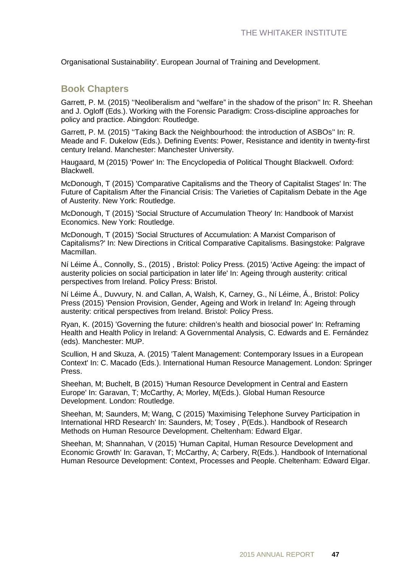Organisational Sustainability'. European Journal of Training and Development.

#### **Book Chapters**

Garrett, P. M. (2015) ''Neoliberalism and "welfare" in the shadow of the prison'' In: R. Sheehan and J. Ogloff (Eds.). Working with the Forensic Paradigm: Cross-discipline approaches for policy and practice. Abingdon: Routledge.

Garrett, P. M. (2015) ''Taking Back the Neighbourhood: the introduction of ASBOs'' In: R. Meade and F. Dukelow (Eds.). Defining Events: Power, Resistance and identity in twenty-first century Ireland. Manchester: Manchester University.

Haugaard, M (2015) 'Power' In: The Encyclopedia of Political Thought Blackwell. Oxford: Blackwell.

McDonough, T (2015) 'Comparative Capitalisms and the Theory of Capitalist Stages' In: The Future of Capitalism After the Financial Crisis: The Varieties of Capitalism Debate in the Age of Austerity. New York: Routledge.

McDonough, T (2015) 'Social Structure of Accumulation Theory' In: Handbook of Marxist Economics. New York: Routledge.

McDonough, T (2015) 'Social Structures of Accumulation: A Marxist Comparison of Capitalisms?' In: New Directions in Critical Comparative Capitalisms. Basingstoke: Palgrave Macmillan.

Ní Léime Á., Connolly, S., (2015) , Bristol: Policy Press. (2015) 'Active Ageing: the impact of austerity policies on social participation in later life' In: Ageing through austerity: critical perspectives from Ireland. Policy Press: Bristol.

Ní Léime Á., Duvvury, N. and Callan, A, Walsh, K, Carney, G., Ní Léime, Á., Bristol: Policy Press (2015) 'Pension Provision, Gender, Ageing and Work in Ireland' In: Ageing through austerity: critical perspectives from Ireland. Bristol: Policy Press.

Ryan, K. (2015) 'Governing the future: children's health and biosocial power' In: Reframing Health and Health Policy in Ireland: A Governmental Analysis, C. Edwards and E. Fernández (eds). Manchester: MUP.

Scullion, H and Skuza, A. (2015) 'Talent Management: Contemporary Issues in a European Context' In: C. Macado (Eds.). International Human Resource Management. London: Springer Press.

Sheehan, M; Buchelt, B (2015) 'Human Resource Development in Central and Eastern Europe' In: Garavan, T; McCarthy, A; Morley, M(Eds.). Global Human Resource Development. London: Routledge.

Sheehan, M; Saunders, M; Wang, C (2015) 'Maximising Telephone Survey Participation in International HRD Research' In: Saunders, M; Tosey , P(Eds.). Handbook of Research Methods on Human Resource Development. Cheltenham: Edward Elgar.

Sheehan, M; Shannahan, V (2015) 'Human Capital, Human Resource Development and Economic Growth' In: Garavan, T; McCarthy, A; Carbery, R(Eds.). Handbook of International Human Resource Development: Context, Processes and People. Cheltenham: Edward Elgar.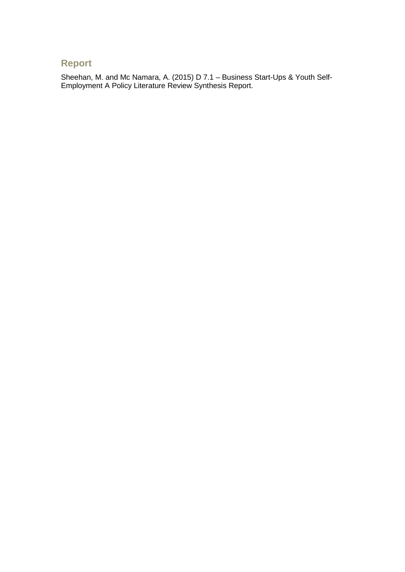### **Report**

Sheehan, M. and Mc Namara, A. (2015) D 7.1 – Business Start-Ups & Youth Self-Employment A Policy Literature Review Synthesis Report.